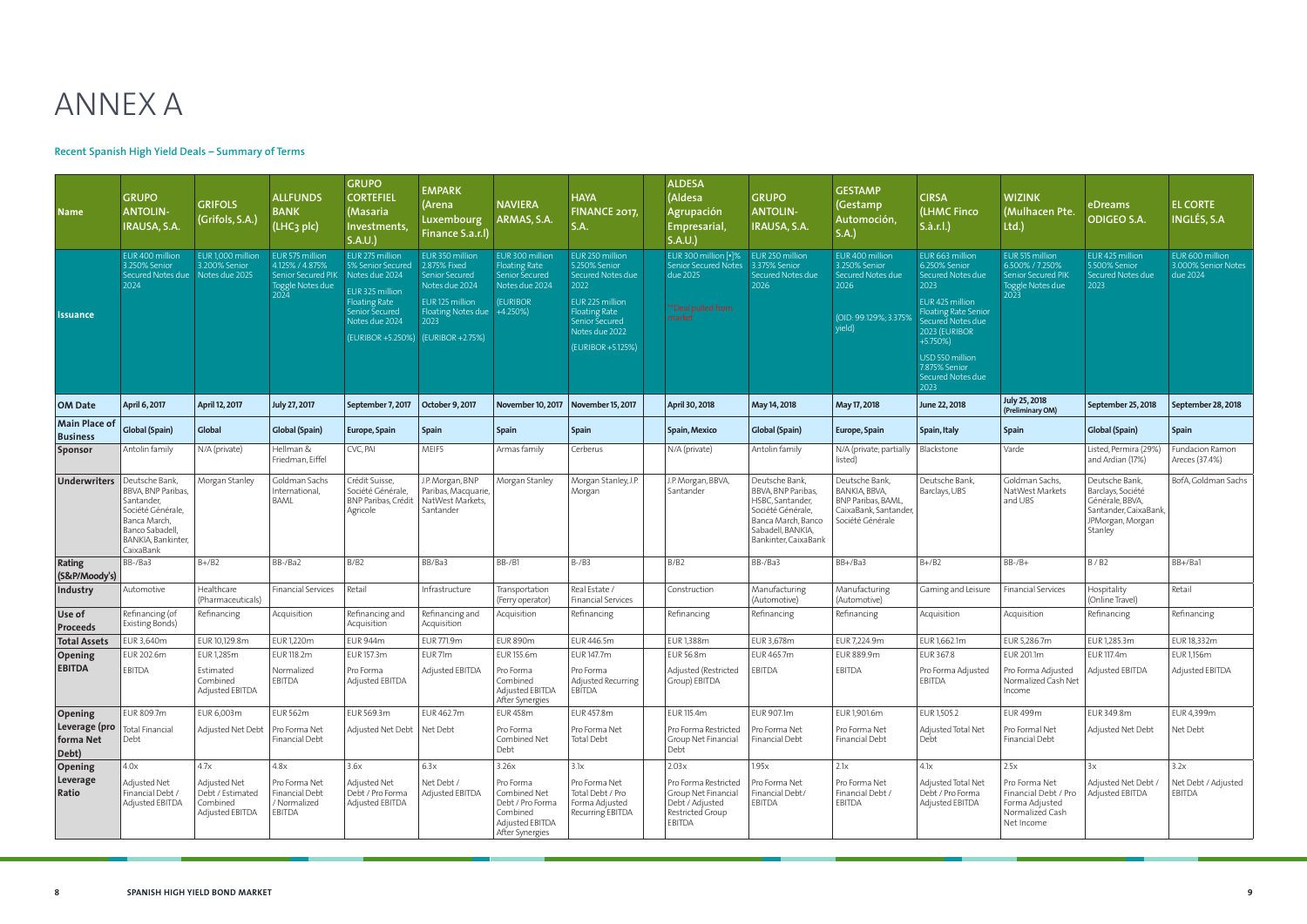

## **Recent Spanish High Yield Deals – Summary of Terms**

| <b>Name</b>                         | <b>GRUPO</b><br><b>ANTOLIN-</b><br>IRAUSA, S.A.                                                                                               | <b>GRIFOLS</b><br>(Grifols, S.A.)                               | <b>ALLFUNDS</b><br><b>BANK</b><br>(LHC <sub>3</sub> plc)                                              | <b>GRUPO</b><br><b>CORTEFIEL</b><br>(Masaria<br>Investments,<br>S.A.U.                                              | <b>EMPARK</b><br>(Arena<br>Luxembourg<br>Finance S.a.r.l)                                                                                                    | <b>NAVIERA</b><br>ARMAS, S.A.                                                                                       | <b>HAYA</b><br><b>FINANCE 2017</b><br>S.A.                                                                                                                        | <b>ALDESA</b><br>(Aldesa<br><b>Agrupación</b><br><b>Empresarial</b><br>S.A.U.                   | <b>GRUPO</b><br><b>ANTOLIN-</b><br>IRAUSA, S.A.                                                                                                  | <b>GESTAMP</b><br>(Gestamp<br>Automoción,<br>S.A.                                                  | <b>CIRSA</b><br>(LHMC Finco<br>S.à.r.l.)                                                                                                                                                                                            | <b>WIZINK</b><br>(Mulhacen Pte.<br>Ltd.                                                     | eDreams<br><b>ODIGEO S.A.</b>                                                                                 | <b>EL CORTE</b><br><b>INGLÉS, S.A</b>              |
|-------------------------------------|-----------------------------------------------------------------------------------------------------------------------------------------------|-----------------------------------------------------------------|-------------------------------------------------------------------------------------------------------|---------------------------------------------------------------------------------------------------------------------|--------------------------------------------------------------------------------------------------------------------------------------------------------------|---------------------------------------------------------------------------------------------------------------------|-------------------------------------------------------------------------------------------------------------------------------------------------------------------|-------------------------------------------------------------------------------------------------|--------------------------------------------------------------------------------------------------------------------------------------------------|----------------------------------------------------------------------------------------------------|-------------------------------------------------------------------------------------------------------------------------------------------------------------------------------------------------------------------------------------|---------------------------------------------------------------------------------------------|---------------------------------------------------------------------------------------------------------------|----------------------------------------------------|
| <b>Issuance</b>                     | EUR 400 million<br>3.250% Senior<br>Secured Notes due   Notes due 2025<br>2024                                                                | EUR 1,000 million<br>3.200% Senior                              | EUR 575 million<br>4.125% / 4.875%<br>Senior Secured PIK   Notes due 2024<br>Toggle Notes due<br>2024 | EUR 275 million<br>5% Senior Secured<br>EUR 325 million<br><b>Floating Rate</b><br>Senior Secured<br>Notes due 2024 | EUR 350 million<br>2.875% Fixed<br>Senior Secured<br>Notes due 2024<br>EUR 125 million<br>Floating Notes due<br>2023<br>(EURIBOR +5.250%)   (EURIBOR +2.75%) | EUR 300 million<br><b>Floating Rate</b><br><b>Senior Secured</b><br>Notes due 2024<br><b>(EURIBOR)</b><br>$+4.250%$ | EUR 250 million<br>5.250% Senior<br>Secured Notes due<br>2022<br>EUR 225 million<br><b>Floating Rate</b><br>Senior Secured<br>Notes due 2022<br>(EURIBOR +5.125%) | EUR 300 million [.]%<br><b>Senior Secured Notes</b><br>due 2025<br>**Deal pulled from<br>market | EUR 250 million<br>3.375% Senior<br>Secured Notes due<br>2026                                                                                    | EUR 400 million<br>3.250% Senior<br>Secured Notes due<br>2026<br>(OID: 99.129%; 3.3759<br>yield)   | EUR 663 million<br>6.250% Senior<br>Secured Notes due<br>2023<br>EUR 425 million<br><b>Floating Rate Senior</b><br>Secured Notes due<br>2023 (EURIBOR<br>$+5.750%$<br>USD 550 million<br>7.875% Senior<br>Secured Notes due<br>2023 | EUR 515 million<br>6.500% / 7.250%<br><b>Senior Secured PIK</b><br>Toggle Notes due<br>2023 | EUR 425 million<br>5.500% Senior<br>Secured Notes due<br>2023                                                 | EUR 600 million<br>3.000% Senior Notes<br>due 2024 |
| <b>OM Date</b>                      | April 6, 2017                                                                                                                                 | April 12, 2017                                                  | July 27, 2017                                                                                         | September 7, 2017                                                                                                   | October 9, 2017                                                                                                                                              | <b>November 10, 2017</b>                                                                                            | <b>November 15, 2017</b>                                                                                                                                          | April 30, 2018                                                                                  | May 14, 2018                                                                                                                                     | May 17, 2018                                                                                       | June 22, 2018                                                                                                                                                                                                                       | <b>July 25, 2018</b><br>(Preliminary OM)                                                    | September 25, 2018                                                                                            | September 28, 2018                                 |
| Main Place of<br><b>Business</b>    | <b>Global (Spain)</b>                                                                                                                         | Global                                                          | <b>Global (Spain)</b>                                                                                 | Europe, Spain                                                                                                       | <b>Spain</b>                                                                                                                                                 | Spain                                                                                                               | <b>Spain</b>                                                                                                                                                      | Spain, Mexico                                                                                   | <b>Global (Spain)</b>                                                                                                                            | Europe, Spain                                                                                      | Spain, Italy                                                                                                                                                                                                                        | <b>Spain</b>                                                                                | <b>Global (Spain)</b>                                                                                         | Spain                                              |
| <b>Sponsor</b>                      | Antolin family                                                                                                                                | N/A (private)                                                   | Hellman &<br>Friedman, Eiffel                                                                         | CVC, PAI                                                                                                            | MEIF5                                                                                                                                                        | Armas family                                                                                                        | Cerberus                                                                                                                                                          | N/A (private)                                                                                   | Antolin family                                                                                                                                   | N/A (private; partially<br>listed)                                                                 | Blackstone                                                                                                                                                                                                                          | Varde                                                                                       | Listed. Permira (29%)<br>and Ardian (17%)                                                                     | <b>Fundacion Ramon</b><br>Areces (37.4%)           |
| <b>Underwriters</b>                 | Deutsche Bank,<br>BBVA. BNP Paribas.<br>Santander,<br>Société Générale,<br>Banca March,<br>Banco Sabadell,<br>BANKIA, Bankinter,<br>CaixaBank | Morgan Stanley                                                  | Goldman Sachs<br>International,<br><b>BAML</b>                                                        | Crédit Suisse,<br>Société Générale,<br>BNP Paribas, Crédit<br>Agricole                                              | J.P. Morgan, BNP<br>Paribas, Macquarie,<br>NatWest Markets,<br>Santander                                                                                     | Morgan Stanley                                                                                                      | Morgan Stanley, J.P.<br>Morgan                                                                                                                                    | J.P. Morgan, BBVA,<br>Santander                                                                 | Deutsche Bank,<br>BBVA, BNP Paribas,<br>HSBC, Santander,<br>Société Générale,<br>Banca March, Banco<br>Sabadell, BANKIA,<br>Bankinter, CaixaBank | Deutsche Bank,<br>BANKIA, BBVA,<br>BNP Paribas, BAML,<br>CaixaBank, Santander,<br>Société Générale | Deutsche Bank,<br>Barclays, UBS                                                                                                                                                                                                     | Goldman Sachs,<br>NatWest Markets<br>and UBS                                                | Deutsche Bank<br>Barclays, Société<br>Générale, BBVA,<br>Santander, CaixaBank,<br>JPMorgan, Morgan<br>Stanley | BofA, Goldman Sachs                                |
| Rating<br>(S&P/Moody's)             | BB-/Ba3                                                                                                                                       | $B+/B2$                                                         | BB-/Ba2                                                                                               | B/B2                                                                                                                | BB/Ba3                                                                                                                                                       | BB-/B1                                                                                                              | $B-$ / $B3$                                                                                                                                                       | B/B2                                                                                            | BB-/Ba3                                                                                                                                          | BB+/Ba3                                                                                            | $B+/B2$                                                                                                                                                                                                                             | $BB-/B+$                                                                                    | B/B2                                                                                                          | BB+/Ba1                                            |
| Industry                            | Automotive                                                                                                                                    | Healthcare<br>(Pharmaceuticals)                                 | <b>Financial Services</b>                                                                             | Retail                                                                                                              | Infrastructure                                                                                                                                               | Transportation<br>(Ferry operator)                                                                                  | Real Estate /<br><b>Financial Services</b>                                                                                                                        | Construction                                                                                    | Manufacturing<br>(Automotive)                                                                                                                    | Manufacturing<br>(Automotive)                                                                      | Gaming and Leisure                                                                                                                                                                                                                  | <b>Financial Services</b>                                                                   | Hospitality<br>(Online Travel)                                                                                | Retail                                             |
| Use of<br><b>Proceeds</b>           | Refinancing (of<br>Existing Bonds)                                                                                                            | Refinancing                                                     | Acquisition                                                                                           | Refinancing and<br>Acquisition                                                                                      | Refinancing and<br>Acquisition                                                                                                                               | Acquisition                                                                                                         | Refinancing                                                                                                                                                       | Refinancing                                                                                     | Refinancing                                                                                                                                      | Refinancing                                                                                        | Acquisition                                                                                                                                                                                                                         | Acquisition                                                                                 | Refinancing                                                                                                   | Refinancing                                        |
| <b>Total Assets</b>                 | EUR 3,640m                                                                                                                                    | EUR 10,129.8m                                                   | <b>EUR1,220m</b>                                                                                      | <b>EUR 944m</b>                                                                                                     | <b>EUR 771.9m</b>                                                                                                                                            | <b>EUR 890m</b>                                                                                                     | EUR 446.5m                                                                                                                                                        | EUR 1,388m                                                                                      | EUR 3,678m                                                                                                                                       | EUR 7,224.9m                                                                                       | EUR 1,662.1m                                                                                                                                                                                                                        | EUR 5,286.7m                                                                                | EUR 1,285.3m                                                                                                  | EUR 18,332m                                        |
| <b>Opening</b>                      | EUR 202.6m                                                                                                                                    | <b>EUR 1,285m</b>                                               | <b>EUR 118.2m</b>                                                                                     | EUR 157.3m                                                                                                          | EUR <sub>71m</sub>                                                                                                                                           | EUR 155.6m                                                                                                          | EUR 147.7m                                                                                                                                                        | EUR 56.8m                                                                                       | EUR 465.7m                                                                                                                                       | EUR 889.9m                                                                                         | <b>EUR 367.8</b>                                                                                                                                                                                                                    | <b>EUR 201.1m</b>                                                                           | EUR 117.4m                                                                                                    | EUR 1,156m                                         |
| <b>EBITDA</b>                       | <b>EBITDA</b>                                                                                                                                 | Estimated<br>Combined<br>Adjusted EBITDA                        | Normalized<br>EBITDA                                                                                  | Pro Forma<br>Adjusted EBITDA                                                                                        | Adjusted EBITDA                                                                                                                                              | Pro Forma<br>Combined<br>Adjusted EBITDA<br>After Synergies                                                         | Pro Forma<br>Adjusted Recurring<br>EBITDA                                                                                                                         | Adjusted (Restricted<br>Group) EBITDA                                                           | EBITDA                                                                                                                                           | EBITDA                                                                                             | Pro Forma Adjusted<br>EBITDA                                                                                                                                                                                                        | Pro Forma Adjusted<br>Normalized Cash Net<br>Income                                         | Adjusted EBITDA                                                                                               | Adjusted EBITDA                                    |
| <b>Opening</b>                      | EUR 809.7m                                                                                                                                    | EUR 6,003m                                                      | <b>EUR 562m</b>                                                                                       | EUR 569.3m                                                                                                          | EUR 462.7m                                                                                                                                                   | <b>EUR 458m</b>                                                                                                     | EUR 457.8m                                                                                                                                                        | EUR 115.4m                                                                                      | EUR 907.1m                                                                                                                                       | EUR 1,901.6m                                                                                       | EUR 1,505.2                                                                                                                                                                                                                         | <b>EUR 499m</b>                                                                             | EUR 349.8m                                                                                                    | EUR 4,399m                                         |
| Leverage (pro<br>forma Net<br>Debt) | Total Financial<br>Debt                                                                                                                       | Adjusted Net Debt                                               | Pro Forma Net<br>Financial Debt                                                                       | Adjusted Net Debt   Net Debt                                                                                        |                                                                                                                                                              | Pro Forma<br>Combined Net<br>Debt                                                                                   | Pro Forma Net<br><b>Total Debt</b>                                                                                                                                | Pro Forma Restricted<br>Group Net Financial<br>Debt                                             | Pro Forma Net<br>Financial Debt                                                                                                                  | Pro Forma Net<br>Financial Debt                                                                    | Adjusted Total Net<br>Debt                                                                                                                                                                                                          | Pro Formal Net<br>Financial Debt                                                            | Adjusted Net Debt                                                                                             | Net Debt                                           |
| <b>Opening</b>                      | 4.0x                                                                                                                                          | 4.7x                                                            | 4.8x                                                                                                  | 3.6x                                                                                                                | 6.3x                                                                                                                                                         | 3.26x                                                                                                               | 3.1x                                                                                                                                                              | 2.03x                                                                                           | 1.95x                                                                                                                                            | 2.1x                                                                                               | 4.1x                                                                                                                                                                                                                                | 2.5x                                                                                        | 3x                                                                                                            | 3.2x                                               |
| Leverage<br>Ratio                   | Adjusted Net<br>Financial Debt /<br>Adjusted EBITDA                                                                                           | Adjusted Net<br>Debt / Estimated<br>Combined<br>Adjusted EBITDA | Pro Forma Net<br>Financial Debt<br>/ Normalized<br>EBITDA                                             | Adjusted Net<br>Debt / Pro Forma<br>Adjusted EBITDA                                                                 | Net Debt /<br>Adjusted EBITDA                                                                                                                                | Pro Forma<br>Combined Net<br>Debt / Pro Forma<br>Combined<br>Adjusted EBITDA<br>After Synergies                     | Pro Forma Net<br>Total Debt / Pro<br>Forma Adjusted<br>Recurring EBITDA                                                                                           | Pro Forma Restricted<br>Group Net Financial<br>Debt / Adjusted<br>Restricted Group<br>EBITDA    | Pro Forma Net<br>Financial Debt/<br>EBITDA                                                                                                       | Pro Forma Net<br>Financial Debt /<br>EBITDA                                                        | Adjusted Total Net<br>Debt / Pro Forma<br>Adjusted EBITDA                                                                                                                                                                           | Pro Forma Net<br>Financial Debt / Pro<br>Forma Adjusted<br>Normalized Cash<br>Net Income    | Adjusted Net Debt /<br>Adjusted EBITDA                                                                        | Net Debt / Adjusted<br><b>EBITDA</b>               |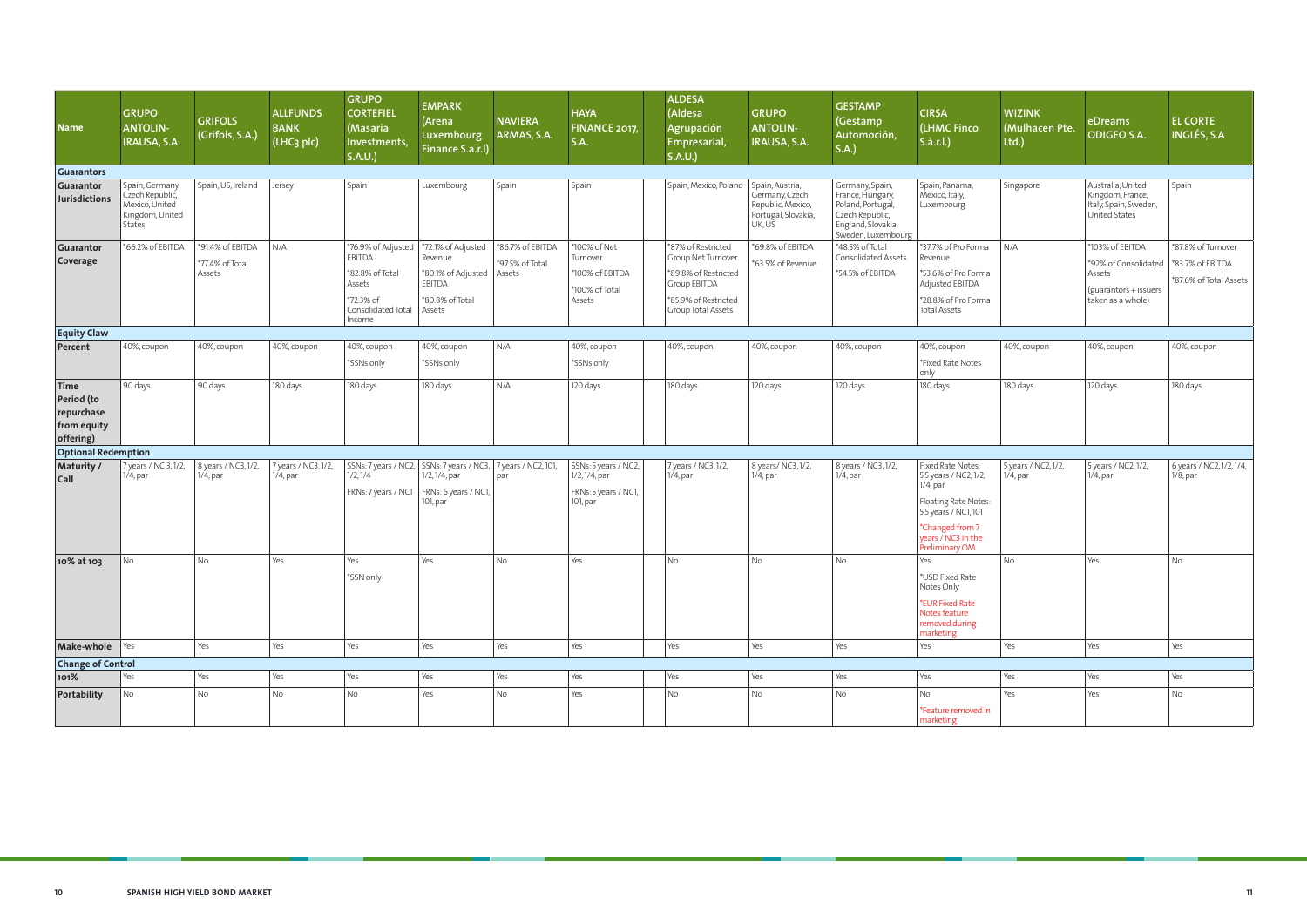| <b>Name</b>                                                  | <b>GRUPO</b><br><b>ANTOLIN-</b><br>IRAUSA, S.A.                                   | <b>GRIFOLS</b><br>(Grifols, S.A.)   | <b>ALLFUNDS</b><br><b>BANK</b><br>(LHC <sub>3</sub> plc) | <b>GRUPO</b><br><b>CORTEFIEL</b><br>(Masaria<br>Investments,<br>S.A.U. | <b>EMPARK</b><br>(Arena<br>Luxembourg<br>Finance S.a.r.l)                                                         | <b>NAVIERA</b><br>ARMAS, S.A.       | <b>HAYA</b><br><b>FINANCE 2017</b><br>S.A.                                | <b>ALDESA</b><br>(Aldesa<br>Agrupación<br>Empresarial,<br>S.A.U. | <b>GRUPO</b><br><b>ANTOLIN-</b><br>IRAUSA, S.A.                                         | <b>GESTAMP</b><br>Gestamp<br>Automoción,<br>S.A.)                                                                       | <b>CIRSA</b><br>(LHMC Finco<br>S.à.r.l.)                                                                                                                             | <b>WIZINK</b><br>(Mulhacen Pte.<br>Itd. | eDreams<br><b>ODIGEO S.A.</b>                                                   | <b>EL CORTE</b><br><b>INGLÉS, S.A</b>   |
|--------------------------------------------------------------|-----------------------------------------------------------------------------------|-------------------------------------|----------------------------------------------------------|------------------------------------------------------------------------|-------------------------------------------------------------------------------------------------------------------|-------------------------------------|---------------------------------------------------------------------------|------------------------------------------------------------------|-----------------------------------------------------------------------------------------|-------------------------------------------------------------------------------------------------------------------------|----------------------------------------------------------------------------------------------------------------------------------------------------------------------|-----------------------------------------|---------------------------------------------------------------------------------|-----------------------------------------|
| <b>Guarantors</b>                                            |                                                                                   |                                     |                                                          |                                                                        |                                                                                                                   |                                     |                                                                           |                                                                  |                                                                                         |                                                                                                                         |                                                                                                                                                                      |                                         |                                                                                 |                                         |
| Guarantor<br><b>Jurisdictions</b>                            | Spain, Germany,<br>Czech Republic,<br>Mexico, United<br>Kingdom, United<br>States | Spain, US, Ireland                  | Jersey                                                   | Spain                                                                  | Luxembourg                                                                                                        | Spain                               | Spain                                                                     | Spain, Mexico, Poland                                            | Spain, Austria,<br>Germany, Czech<br>Republic, Mexico,<br>Portugal, Slovakia,<br>UK, US | Germany, Spain,<br>France, Hungary,<br>Poland, Portugal,<br>Czech Republic,<br>England, Slovakia,<br>Sweden, Luxembourg | Spain, Panama,<br>Mexico, Italy,<br>Luxembourg                                                                                                                       | Singapore                               | Australia, United<br>Kingdom, France,<br>Italy, Spain, Sweden,<br>United States | Spain                                   |
| Guarantor<br>Coverage                                        | *66.2% of EBITDA                                                                  | *91.4% of EBITDA<br>*77.4% of Total | N/A                                                      | *76.9% of Adjusted<br><b>EBITDA</b>                                    | *72.1% of Adjusted<br>Revenue                                                                                     | *86.7% of EBITDA<br>*97.5% of Total | *100% of Net<br>Turnover                                                  | *87% of Restricted<br>Group Net Turnover                         | *69.8% of EBITDA<br>*63.5% of Revenue                                                   | *48.5% of Total<br>Consolidated Assets                                                                                  | *37.7% of Pro Forma<br>Revenue                                                                                                                                       | N/A                                     | *103% of EBITDA<br>*92% of Consolidated                                         | *87.8% of Turnover<br>*83.7% of EBITDA  |
|                                                              |                                                                                   | Assets                              |                                                          | *82.8% of Total<br>Assets                                              | *80.1% of Adjusted<br>EBITDA                                                                                      | Assets                              | *100% of EBITDA<br>*100% of Total                                         | *89.8% of Restricted<br>Group EBITDA                             |                                                                                         | *54.5% of EBITDA                                                                                                        | *53.6% of Pro Forma<br>Adjusted EBITDA                                                                                                                               |                                         | Assets<br>(guarantors + issuers)                                                | *87.6% of Total Assets                  |
|                                                              |                                                                                   |                                     |                                                          | *72.3% of<br>Consolidated Total<br>Income                              | *80.8% of Total<br>Assets                                                                                         |                                     | Assets                                                                    | *85.9% of Restricted<br>Group Total Assets                       |                                                                                         |                                                                                                                         | *28.8% of Pro Forma<br><b>Total Assets</b>                                                                                                                           |                                         | taken as a whole)                                                               |                                         |
| <b>Equity Claw</b>                                           |                                                                                   |                                     |                                                          |                                                                        |                                                                                                                   |                                     |                                                                           |                                                                  |                                                                                         |                                                                                                                         |                                                                                                                                                                      |                                         |                                                                                 |                                         |
| Percent                                                      | 40%, coupon                                                                       | 40%, coupon                         | 40%, coupon                                              | 40%, coupon                                                            | 40%, coupon                                                                                                       | N/A                                 | 40%, coupon                                                               | 40%, coupon                                                      | 40%, coupon                                                                             | 40%, coupon                                                                                                             | 40%, coupon                                                                                                                                                          | 40%, coupon                             | 40%, coupon                                                                     | 40%, coupon                             |
|                                                              |                                                                                   |                                     |                                                          | *SSNs only                                                             | *SSNs only                                                                                                        |                                     | *SSNs only                                                                |                                                                  |                                                                                         |                                                                                                                         | *Fixed Rate Notes<br>only                                                                                                                                            |                                         |                                                                                 |                                         |
| Time<br>Period (to<br>repurchase<br>from equity<br>offering) | 90 days                                                                           | 90 days                             | 180 days                                                 | 180 days                                                               | 180 days                                                                                                          | N/A                                 | 120 days                                                                  | 180 days                                                         | 120 days                                                                                | 120 days                                                                                                                | 180 days                                                                                                                                                             | 180 days                                | 120 days                                                                        | 180 days                                |
| <b>Optional Redemption</b>                                   |                                                                                   |                                     |                                                          |                                                                        |                                                                                                                   |                                     |                                                                           |                                                                  |                                                                                         |                                                                                                                         |                                                                                                                                                                      |                                         |                                                                                 |                                         |
| <b>Maturity /</b><br>$ $ Call                                | 7 years / NC 3, 1/2,<br>$1/4$ , par                                               | 8 years / NC3, 1/2,<br>$1/4$ , par  | 7 years / NC3, 1/2,<br>$1/4$ , par                       | 1/2, 1/4<br>FRNs: 7 years / NC1                                        | SSNs: 7 years / NC2, SSNs: 7 years / NC3, 7 years / NC2, 101,<br>1/2, 1/4, par<br>FRNs: 6 years / NC1<br>101, par | par                                 | SSNs: 5 years / NC2,<br>1/2, 1/4, par<br>FRNs: 5 years / NC1,<br>101, par | 7 years / NC3, 1/2,<br>$1/4$ , par                               | 8 years/ NC3, 1/2,<br>$1/4$ , par                                                       | 8 years / NC3, 1/2,<br>$1/4$ , par                                                                                      | Fixed Rate Notes:<br>5.5 years / NC2, 1/2,<br>$1/4$ , par<br>Floating Rate Notes:<br>5.5 years / NC1, 101<br>*Changed from 7<br>years / NC3 in the<br>Preliminary OM | 5 years / NC2, 1/2,<br>$1/4$ , par      | 5 years / NC2, 1/2,<br>$1/4$ , par                                              | 6 years / NC2, 1/2, 1/4,<br>$1/8$ , par |
| 10% at 103                                                   | No                                                                                | l No                                | Yes                                                      | Yes<br>*SSN only                                                       | Yes                                                                                                               | <b>No</b>                           | Yes                                                                       | <b>No</b>                                                        | <b>No</b>                                                                               | <b>No</b>                                                                                                               | Yes<br>*USD Fixed Rate<br>Notes Only<br>*EUR Fixed Rate<br>Notes feature<br>removed during<br>marketing                                                              | <b>No</b>                               | Yes                                                                             | <b>No</b>                               |
| Make-whole Yes                                               |                                                                                   | Yes                                 | Yes                                                      | Yes                                                                    | $ $ Yes                                                                                                           | Yes                                 | Yes                                                                       | Yes                                                              | Yes                                                                                     | Yes                                                                                                                     | Yes                                                                                                                                                                  | Yes                                     | Yes                                                                             | Yes                                     |
| <b>Change of Control</b>                                     |                                                                                   |                                     |                                                          |                                                                        |                                                                                                                   |                                     |                                                                           |                                                                  |                                                                                         |                                                                                                                         |                                                                                                                                                                      |                                         |                                                                                 |                                         |
| 101%                                                         | Yes                                                                               | Yes                                 | Yes                                                      | Yes                                                                    | $ $ Yes                                                                                                           | Yes                                 | Yes                                                                       | Yes                                                              | Yes                                                                                     | Yes                                                                                                                     | Yes                                                                                                                                                                  | Yes                                     | Yes                                                                             | Yes                                     |
| Portability                                                  | No                                                                                | No                                  | No                                                       | No                                                                     | $ $ Yes                                                                                                           | $\mathsf{No}$                       | Yes                                                                       | <b>No</b>                                                        | No                                                                                      | No                                                                                                                      | <b>No</b>                                                                                                                                                            | Yes                                     | Yes                                                                             | No                                      |
|                                                              |                                                                                   |                                     |                                                          |                                                                        |                                                                                                                   |                                     |                                                                           |                                                                  |                                                                                         |                                                                                                                         | *Feature removed in<br>marketing                                                                                                                                     |                                         |                                                                                 |                                         |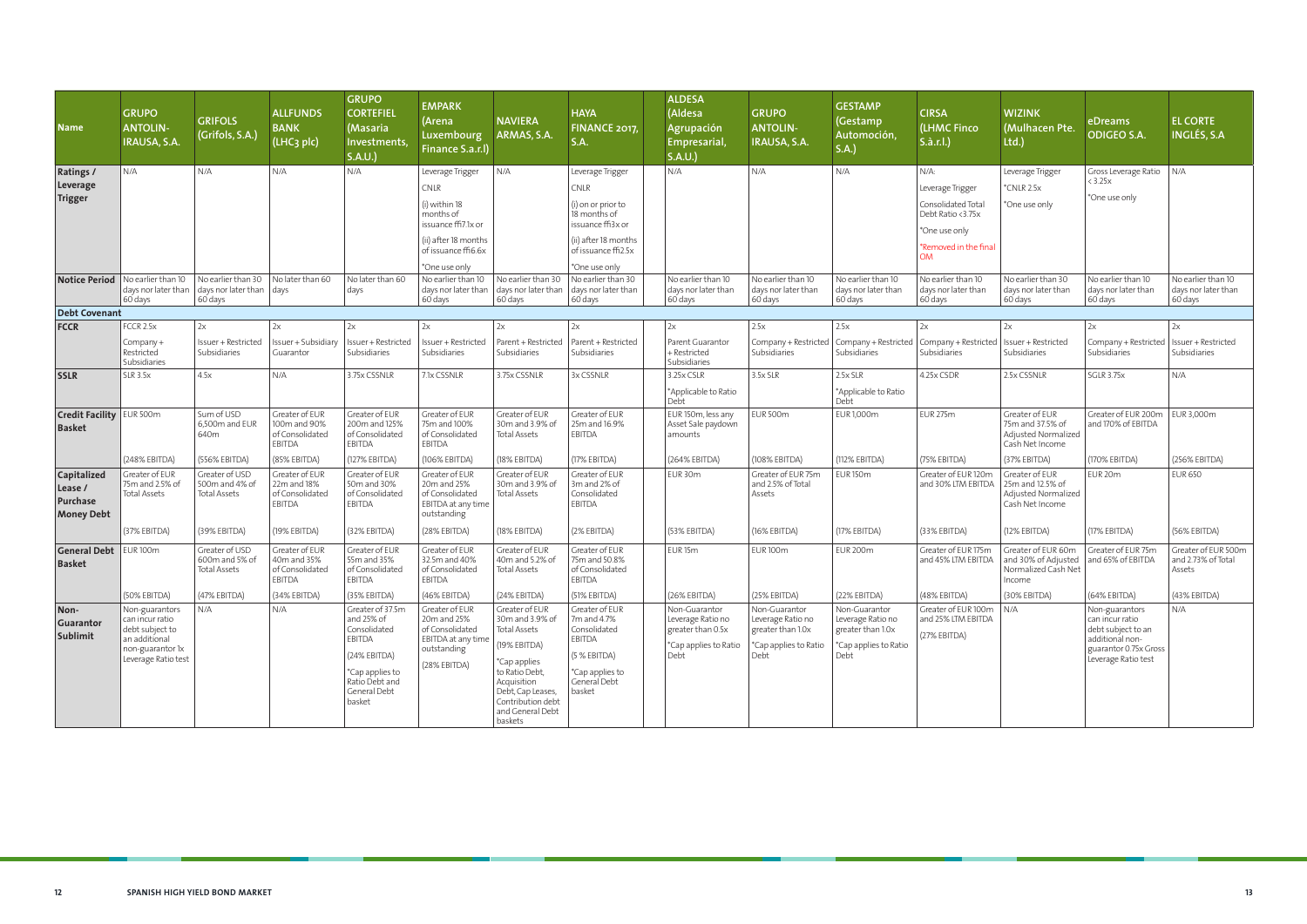| <b>Name</b>                                                    | <b>GRUPO</b><br><b>ANTOLIN-</b><br>IRAUSA, S.A.                                                                  | <b>GRIFOLS</b><br>(Grifols, S.A.)                                                                                              | <b>ALLFUNDS</b><br><b>BANK</b><br>(LHC <sub>3</sub> plc)    | <b>GRUPO</b><br><b>CORTEFIEL</b><br>(Masaria<br>Investments,<br>S.A.U.                                                                  | <b>EMPARK</b><br>(Arena<br>Luxembourg<br>Finance S.a.r.l)                                                                                                         | <b>NAVIERA</b><br>ARMAS, S.A.                                                                                                                                                                      | <b>HAYA</b><br>FINANCE 2017,<br>S.A.                                                                                                                | <b>ALDESA</b><br>(Aldesa<br>Agrupación<br>Empresarial,<br>S.A.U.                         | <b>GRUPO</b><br><b>ANTOLIN-</b><br>IRAUSA, S.A.                                          | <b>GESTAMP</b><br>(Gestamp<br>Automoción,<br>S.A.)                                       | <b>CIRSA</b><br>(LHMC Finco<br>S.à.r.l.)                                                                                      | <b>WIZINK</b><br>(Mulhacen Pte.<br>Ltd.)                                     | eDreams<br><b>ODIGEO S.A.</b>                                                                                              | <b>EL CORTE</b><br><b>INGLÉS, S.A</b>                |
|----------------------------------------------------------------|------------------------------------------------------------------------------------------------------------------|--------------------------------------------------------------------------------------------------------------------------------|-------------------------------------------------------------|-----------------------------------------------------------------------------------------------------------------------------------------|-------------------------------------------------------------------------------------------------------------------------------------------------------------------|----------------------------------------------------------------------------------------------------------------------------------------------------------------------------------------------------|-----------------------------------------------------------------------------------------------------------------------------------------------------|------------------------------------------------------------------------------------------|------------------------------------------------------------------------------------------|------------------------------------------------------------------------------------------|-------------------------------------------------------------------------------------------------------------------------------|------------------------------------------------------------------------------|----------------------------------------------------------------------------------------------------------------------------|------------------------------------------------------|
| <b>Ratings /</b><br>Leverage<br><b>Trigger</b>                 | N/A                                                                                                              | N/A                                                                                                                            | N/A                                                         | N/A                                                                                                                                     | Leverage Trigger<br>$\overline{\text{CNLR}}$<br>(i) within 18<br>months of<br>issuance ffi7.1x or<br>(ii) after 18 months<br>of issuance ffi6.6x<br>*One use only | N/A                                                                                                                                                                                                | Leverage Trigger<br>CNLR<br>(i) on or prior to<br>18 months of<br>issuance ffi3x or<br>(ii) after 18 months<br>of issuance ffi2.5x<br>*One use only | N/A                                                                                      | N/A                                                                                      | N/A                                                                                      | $N/A$ :<br>Leverage Trigger<br>Consolidated Total<br>Debt Ratio <3.75x<br>*One use only<br>*Removed in the final<br><b>OM</b> | Leverage Trigger<br>*CNLR 2.5x<br>*One use only                              | Gross Leverage Ratio<br>$<$ 3.25 $\times$<br>*One use only                                                                 | N/A                                                  |
|                                                                | Notice Period   No earlier than 10<br>60 days                                                                    | $\vert$ No earlier than 30 $\vert$ No later than 60<br>days nor later than $\vert$ days nor later than $\vert$ days<br>60 days |                                                             | No later than 60<br>days                                                                                                                | No earlier than 10<br>days nor later than<br>60 days                                                                                                              | No earlier than 30<br>days nor later than<br>60 days                                                                                                                                               | No earlier than 30<br>days nor later than<br>60 days                                                                                                | No earlier than 10<br>days nor later than<br>60 days                                     | No earlier than 10<br>days nor later than<br>60 days                                     | No earlier than 10<br>days nor later than<br>60 days                                     | No earlier than 10<br>days nor later than<br>60 days                                                                          | No earlier than 30<br>days nor later than<br>60 days                         | No earlier than 10<br>days nor later than<br>60 days                                                                       | No earlier than 10<br>days nor later than<br>60 days |
| <b>Debt Covenant</b>                                           |                                                                                                                  |                                                                                                                                |                                                             |                                                                                                                                         |                                                                                                                                                                   |                                                                                                                                                                                                    |                                                                                                                                                     |                                                                                          |                                                                                          |                                                                                          |                                                                                                                               |                                                                              |                                                                                                                            |                                                      |
| <b>FCCR</b>                                                    | FCCR 2.5x                                                                                                        | 2x                                                                                                                             | 2x                                                          | 2x                                                                                                                                      | 2x                                                                                                                                                                | 2x                                                                                                                                                                                                 | 2x                                                                                                                                                  | 2x                                                                                       | 2.5x                                                                                     | 2.5x                                                                                     | 2x                                                                                                                            | 2x                                                                           | 2x                                                                                                                         | 2x                                                   |
|                                                                | Company +<br>Restricted<br>Subsidiaries                                                                          | Issuer + Restricted<br>Subsidiaries                                                                                            | Issuer + Subsidiary<br>Guarantor                            | Issuer + Restricted<br>Subsidiaries                                                                                                     | Issuer + Restricted<br>Subsidiaries                                                                                                                               | Parent + Restricted<br>Subsidiaries                                                                                                                                                                | Parent + Restricted<br>Subsidiaries                                                                                                                 | Parent Guarantor<br>+ Restricted<br>Subsidiaries                                         | Company + Restricted<br>Subsidiaries                                                     | Company + Restricted<br>Subsidiaries                                                     | Company + Restricted<br>Subsidiaries                                                                                          | Issuer + Restricted<br>Subsidiaries                                          | Company + Restricted<br>Subsidiaries                                                                                       | Issuer + Restricted<br>Subsidiaries                  |
| <b>SSLR</b>                                                    | <b>SLR 3.5x</b>                                                                                                  | 4.5x                                                                                                                           | N/A                                                         | 3.75x CSSNLR                                                                                                                            | 7.1x CSSNLR                                                                                                                                                       | 3.75x CSSNLR                                                                                                                                                                                       | 3x CSSNLR                                                                                                                                           | 3.25x CSLR<br>*Applicable to Ratio<br>Debt                                               | 3.5x SLR                                                                                 | $2.5x$ SLR<br>*Applicable to Ratio<br>Debt                                               | 4.25x CSDR                                                                                                                    | 2.5x CSSNLR                                                                  | <b>SGLR 3.75x</b>                                                                                                          | N/A                                                  |
| <b>Credit Facility EUR 500m</b><br><b>Basket</b>               |                                                                                                                  | Sum of USD<br>6,500m and EUR<br>640m                                                                                           | Greater of EUR<br>100m and 90%<br>of Consolidated<br>EBITDA | Greater of EUR<br>200m and 125%<br>of Consolidated<br><b>EBITDA</b>                                                                     | Greater of EUR<br>75m and 100%<br>of Consolidated<br><b>EBITDA</b>                                                                                                | Greater of EUR<br>30m and 3.9% of<br><b>Total Assets</b>                                                                                                                                           | Greater of EUR<br>25m and 16.9%<br><b>EBITDA</b>                                                                                                    | EUR 150m, less any<br>Asset Sale paydown<br>amounts                                      | <b>EUR 500m</b>                                                                          | EUR 1,000m                                                                               | <b>EUR 275m</b>                                                                                                               | Greater of EUR<br>75m and 37.5% of<br>Adjusted Normalized<br>Cash Net Income | Greater of EUR 200m<br>and 170% of EBITDA                                                                                  | EUR 3,000m                                           |
|                                                                | (248% EBITDA)                                                                                                    | (556% EBITDA)                                                                                                                  | (85% EBITDA)                                                | (127% EBITDA)                                                                                                                           | (106% EBITDA)                                                                                                                                                     | (18% EBITDA)                                                                                                                                                                                       | (17% EBITDA)                                                                                                                                        | (264% EBITDA)                                                                            | (108% EBITDA)                                                                            | (112% EBITDA)                                                                            | (75% EBITDA)                                                                                                                  | (37% EBITDA)                                                                 | (170% EBITDA)                                                                                                              | (256% EBITDA)                                        |
| <b>Capitalized</b><br>Lease /<br>Purchase<br><b>Money Debt</b> | Greater of EUR<br>75m and 2.5% of<br><b>Total Assets</b>                                                         | Greater of USD<br>500m and 4% of<br><b>Total Assets</b>                                                                        | Greater of EUR<br>22m and 18%<br>of Consolidated<br>EBITDA  | Greater of EUR<br>50m and 30%<br>of Consolidated<br><b>EBITDA</b>                                                                       | Greater of EUR<br>20m and 25%<br>of Consolidated<br>EBITDA at any time<br>outstanding                                                                             | Greater of EUR<br>30m and 3.9% of<br><b>Total Assets</b>                                                                                                                                           | Greater of EUR<br>3m and 2% of<br>Consolidated<br><b>EBITDA</b>                                                                                     | EUR 30m                                                                                  | Greater of EUR 75m<br>and 2.5% of Total<br>Assets                                        | <b>EUR 150m</b>                                                                          | Greater of EUR 120m<br>and 30% LTM EBITDA                                                                                     | Greater of EUR<br>25m and 12.5% of<br>Adjusted Normalized<br>Cash Net Income | EUR <sub>20m</sub>                                                                                                         | <b>EUR 650</b>                                       |
|                                                                | (37% EBITDA)                                                                                                     | (39% EBITDA)                                                                                                                   | (19% EBITDA)                                                | (32% EBITDA)                                                                                                                            | (28% EBITDA)                                                                                                                                                      | (18% EBITDA)                                                                                                                                                                                       | (2% EBITDA)                                                                                                                                         | (53% EBITDA)                                                                             | (16% EBITDA)                                                                             | (17% EBITDA)                                                                             | (33% EBITDA)                                                                                                                  | (12% EBITDA)                                                                 | (17% EBITDA)                                                                                                               | (56% EBITDA)                                         |
| <b>General Debt</b><br><b>Basket</b>                           | <b>EUR100m</b>                                                                                                   | Greater of USD<br>600m and 5% of<br><b>Total Assets</b>                                                                        | Greater of EUR<br>40m and 35%<br>of Consolidated<br>EBITDA  | Greater of EUR<br>55m and 35%<br>of Consolidated<br>EBITDA                                                                              | Greater of EUR<br>32.5m and 40%<br>of Consolidated<br><b>EBITDA</b>                                                                                               | Greater of EUR<br>40m and 5.2% of<br><b>Total Assets</b>                                                                                                                                           | Greater of EUR<br>75m and 50.8%<br>of Consolidated<br>EBITDA                                                                                        | EUR <sub>15m</sub>                                                                       | <b>EUR100m</b>                                                                           | <b>EUR 200m</b>                                                                          | Greater of EUR 175m<br>and 45% LTM EBITDA                                                                                     | Greater of EUR 60m<br>and 30% of Adjusted<br>Normalized Cash Net<br>Income   | Greater of EUR 75m<br>and 65% of EBITDA                                                                                    | Greater of EUR 500m<br>and 2.73% of Total<br>Assets  |
|                                                                | (50% EBITDA)                                                                                                     | (47% EBITDA)                                                                                                                   | (34% EBITDA)                                                | (35% EBITDA)                                                                                                                            | (46% EBITDA)                                                                                                                                                      | (24% EBITDA)                                                                                                                                                                                       | (51% EBITDA)                                                                                                                                        | (26% EBITDA)                                                                             | (25% EBITDA)                                                                             | (22% EBITDA)                                                                             | (48% EBITDA)                                                                                                                  | (30% EBITDA)                                                                 | (64% EBITDA)                                                                                                               | (43% EBITDA)                                         |
| Non-<br>Guarantor<br><b>Sublimit</b>                           | Non-guarantors<br>can incur ratio<br>debt subject to<br>an additional<br>non-guarantor 1x<br>Leverage Ratio test | N/A                                                                                                                            | N/A                                                         | Greater of 37.5m<br>and 25% of<br>Consolidated<br>EBITDA<br>(24% EBITDA)<br>*Cap applies to<br>Ratio Debt and<br>General Debt<br>basket | Greater of EUR<br>20m and 25%<br>of Consolidated<br>EBITDA at any time<br>outstanding<br>(28% EBITDA)                                                             | Greater of EUR<br>30m and 3.9% of<br><b>Total Assets</b><br>(19% EBITDA)<br>*Cap applies<br>to Ratio Debt,<br>Acquisition<br>Debt, Cap Leases,<br>Contribution debt<br>and General Debt<br>baskets | Greater of EUR<br>7m and 4.7%<br>Consolidated<br>EBITDA<br>(5 % EBITDA)<br>*Cap applies to<br>General Debt<br>basket                                | Non-Guarantor<br>Leverage Ratio no<br>greater than 0.5x<br>*Cap applies to Ratio<br>Debt | Non-Guarantor<br>Leverage Ratio no<br>greater than 1.0x<br>*Cap applies to Ratio<br>Debt | Non-Guarantor<br>Leverage Ratio no<br>greater than 1.0x<br>*Cap applies to Ratio<br>Debt | Greater of EUR 100m<br>and 25% LTM EBITDA<br>(27% EBITDA)                                                                     | N/A                                                                          | Non-guarantors<br>can incur ratio<br>debt subject to an<br>additional non-<br>guarantor 0.75x Gross<br>Leverage Ratio test | N/A                                                  |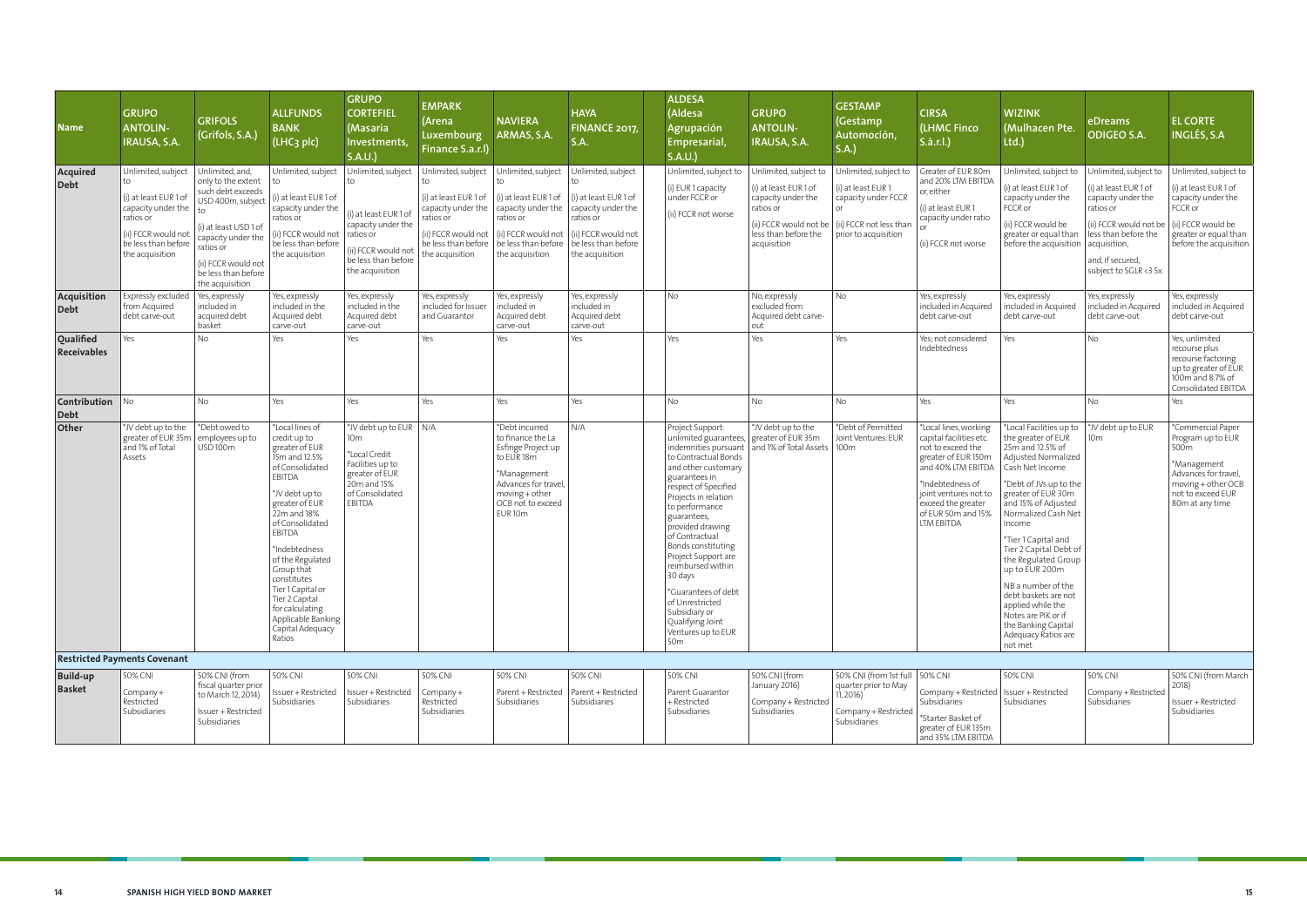| <b>Name</b>                           | <b>GRUPO</b><br><b>ANTOLIN-</b><br>IRAUSA, S.A.                                                                                                      | <b>GRIFOLS</b><br>(Grifols, S.A.)                                                                                                                                                                            | <b>ALLFUNDS</b><br><b>BANK</b><br>(LHC <sub>3</sub> plc)                                                                                                                                                                                                                                                                                                        | <b>GRUPO</b><br><b>CORTEFIEL</b><br>(Masaria<br>Investments,<br>S.A.U.                                                                                             | <b>EMPARK</b><br>(Arena<br>Luxembourg<br>Finance S.a.r.l)                                                                                            | <b>NAVIERA</b><br>ARMAS, S.A.                                                                                                                                                 | <b>HAYA</b><br>FINANCE 2017<br><b>S.A.</b>                                                                                                            | <b>ALDESA</b><br>(Aldesa<br>Agrupación<br>Empresarial,<br>S.A.U.                                                                                                                                                                                                                                                                                                                                                                                                                  | <b>GRUPO</b><br><b>ANTOLIN-</b><br>IRAUSA, S.A.                                                                                                   | <b>GESTAMP</b><br>(Gestamp<br>Automoción,<br>S.A.)                                                                               | <b>CIRSA</b><br>(LHMC Finco<br>S.à.r.l.)                                                                                                                                                                                  | <b>WIZINK</b><br>(Mulhacen Pte.<br>Itd.)                                                                                                                                                                                                                                                                                                                                                                                                                         | eDreams<br><b>ODIGEO S.A.</b>                                                                                                                                                                    | <b>EL CORTE</b><br><b>INGLÉS, S.A</b>                                                                                                                             |
|---------------------------------------|------------------------------------------------------------------------------------------------------------------------------------------------------|--------------------------------------------------------------------------------------------------------------------------------------------------------------------------------------------------------------|-----------------------------------------------------------------------------------------------------------------------------------------------------------------------------------------------------------------------------------------------------------------------------------------------------------------------------------------------------------------|--------------------------------------------------------------------------------------------------------------------------------------------------------------------|------------------------------------------------------------------------------------------------------------------------------------------------------|-------------------------------------------------------------------------------------------------------------------------------------------------------------------------------|-------------------------------------------------------------------------------------------------------------------------------------------------------|-----------------------------------------------------------------------------------------------------------------------------------------------------------------------------------------------------------------------------------------------------------------------------------------------------------------------------------------------------------------------------------------------------------------------------------------------------------------------------------|---------------------------------------------------------------------------------------------------------------------------------------------------|----------------------------------------------------------------------------------------------------------------------------------|---------------------------------------------------------------------------------------------------------------------------------------------------------------------------------------------------------------------------|------------------------------------------------------------------------------------------------------------------------------------------------------------------------------------------------------------------------------------------------------------------------------------------------------------------------------------------------------------------------------------------------------------------------------------------------------------------|--------------------------------------------------------------------------------------------------------------------------------------------------------------------------------------------------|-------------------------------------------------------------------------------------------------------------------------------------------------------------------|
| Acquired<br><b>Debt</b>               | Unlimited, subject<br>to<br>(i) at least EUR1 of<br>capacity under the<br>ratios or<br>(ii) FCCR would not<br>be less than before<br>the acquisition | Unlimited, and,<br>only to the extent<br>such debt exceeds<br>USD 400m, subject<br>(i) at least USD 1 of<br>capacity under the<br>ratios or<br>(ii) FCCR would not<br>be less than before<br>the acquisition | Unlimited, subject<br>l to<br>(i) at least EUR 1 of<br>capacity under the<br>ratios or<br>(ii) FCCR would not<br>be less than before<br>the acquisition                                                                                                                                                                                                         | Unlimited, subject<br>to<br>(i) at least EUR 1 of<br>capacity under the<br>ratios or<br>(ii) FCCR would not<br>be less than before<br>the acquisition              | Unlimited, subject<br>to<br>(i) at least EUR1 of<br>capacity under the<br>ratios or<br>(ii) FCCR would not<br>be less than before<br>the acquisition | Unlimited, subject<br>to<br>(i) at least EUR1 of<br>capacity under the<br>ratios or<br>(ii) FCCR would not<br>be less than before<br>the acquisition                          | Unlimited, subject<br>to<br>(i) at least EUR 1 of<br>capacity under the<br>ratios or<br>(ii) FCCR would not<br>be less than before<br>the acquisition | Unlimited, subject to<br>(i) EUR 1 capacity<br>under FCCR or<br>(ii) FCCR not worse                                                                                                                                                                                                                                                                                                                                                                                               | Unlimited, subject to<br>(i) at least EUR1 of<br>capacity under the<br>ratios or<br>(ii) FCCR would not be<br>less than before the<br>acquisition | Unlimited, subject to<br>(i) at least EUR1<br>capacity under FCCR<br>$\cap$ r<br>(ii) FCCR not less than<br>prior to acquisition | Greater of EUR 80m<br>and 20% LTM EBITDA<br>or, either<br>(i) at least EUR 1<br>capacity under ratio<br>(ii) FCCR not worse                                                                                               | Unlimited, subject to<br>(i) at least EUR1 of<br>capacity under the<br>FCCR or<br>(ii) FCCR would be<br>greater or equal than<br>before the acquisition                                                                                                                                                                                                                                                                                                          | Unlimited, subject to<br>(i) at least EUR 1 of<br>capacity under the<br>ratios or<br>(ii) FCCR would not be<br>less than before the<br>acquisition,<br>and, if secured,<br>subject to SGLR <3.5x | Unlimited, subject to<br>(i) at least EUR 1 of<br>capacity under the<br>FCCR or<br>(ii) FCCR would be<br>greater or equal than<br>before the acquisition          |
| Acquisition<br><b>Debt</b>            | Expressly excluded<br>from Acquired<br>debt carve-out                                                                                                | Yes, expressly<br>included in<br>acquired debt<br>  basket                                                                                                                                                   | Yes, expressly<br>included in the<br>Acquired debt<br>carve-out                                                                                                                                                                                                                                                                                                 | Yes, expressly<br>included in the<br>Acquired debt<br>carve-out                                                                                                    | Yes, expressly<br>included for Issuer<br>and Guarantor                                                                                               | Yes, expressly<br>included in<br>Acquired debt<br>carve-out                                                                                                                   | Yes, expressly<br>included in<br>Acquired debt<br>carve-out                                                                                           | <b>No</b>                                                                                                                                                                                                                                                                                                                                                                                                                                                                         | No, expressly<br>excluded from<br>Acquired debt carve-<br>out                                                                                     | <b>No</b>                                                                                                                        | Yes, expressly<br>included in Acquired<br>debt carve-out                                                                                                                                                                  | Yes, expressly<br>included in Acquired<br>debt carve-out                                                                                                                                                                                                                                                                                                                                                                                                         | Yes, expressly<br>included in Acquired<br>debt carve-out                                                                                                                                         | Yes, expressly<br>included in Acquired<br>debt carve-out                                                                                                          |
| Qualified<br>Receivables              | Yes                                                                                                                                                  | <b>No</b>                                                                                                                                                                                                    | Yes                                                                                                                                                                                                                                                                                                                                                             | Yes                                                                                                                                                                | Yes                                                                                                                                                  | Yes                                                                                                                                                                           | Yes                                                                                                                                                   | Yes                                                                                                                                                                                                                                                                                                                                                                                                                                                                               | Yes                                                                                                                                               | Yes                                                                                                                              | Yes; not considered<br>Indebtedness                                                                                                                                                                                       | Yes                                                                                                                                                                                                                                                                                                                                                                                                                                                              | <b>No</b>                                                                                                                                                                                        | Yes, unlimited<br>recourse plus<br>recourse factoring<br>up to greater of EUR<br>100m and 8.7% of<br>Consolidated EBITDA                                          |
| <b>Contribution</b> No<br><b>Debt</b> |                                                                                                                                                      | No                                                                                                                                                                                                           | Yes                                                                                                                                                                                                                                                                                                                                                             | Yes                                                                                                                                                                | Yes                                                                                                                                                  | Yes                                                                                                                                                                           | Yes                                                                                                                                                   | <b>No</b>                                                                                                                                                                                                                                                                                                                                                                                                                                                                         | No                                                                                                                                                | <b>No</b>                                                                                                                        | Yes                                                                                                                                                                                                                       | Yes                                                                                                                                                                                                                                                                                                                                                                                                                                                              | <b>No</b>                                                                                                                                                                                        | Yes                                                                                                                                                               |
| Other                                 | *JV debt up to the<br>greater of EUR 35m<br>and 1% of Total<br>Assets                                                                                | *Debt owed to<br>employees up to<br>USD <sub>100m</sub>                                                                                                                                                      | *Local lines of<br>credit up to<br>greater of EUR<br>15m and 12.5%<br>of Consolidated<br>EBITDA<br>*JV debt up to<br>greater of EUR<br>22m and 18%<br>of Consolidated<br>EBITDA<br>*Indebtedness<br>of the Regulated<br>Group that<br>constitutes<br>Tier 1 Capital or<br>Tier 2 Capital<br>for calculating<br>Applicable Banking<br>Capital Adequacy<br>Ratios | $*$ JV debt up to EUR $\mid$ N/A<br>10 <sub>m</sub><br>*Local Credit<br>Facilities up to<br>greater of EUR<br>20 <sub>m</sub> and 15%<br>of Consolidated<br>EBITDA |                                                                                                                                                      | *Debt incurred<br>to finance the La<br>Esfinge Project up<br>to EUR 18m<br>*Management<br>Advances for travel,<br>$moving + other$<br>OCB not to exceed<br>EUR <sub>10m</sub> | N/A                                                                                                                                                   | Project Support:<br>unlimited guarantees, greater of EUR 35m<br>indemnities pursuant<br>to Contractual Bonds<br>and other customary<br>guarantees in<br>respect of Specified<br>Projects in relation<br>to performance<br>guarantees,<br>provided drawing<br>of Contractual<br>Bonds constituting<br>Project Support are<br>reimbursed within<br>130 days<br>*Guarantees of debt<br>of Unrestricted<br>Subsidiary or<br>Qualifying Joint<br>Ventures up to EUR<br>50 <sub>m</sub> | *JV debt up to the<br>and 1% of Total Assets                                                                                                      | *Debt of Permitted<br>Joint Ventures: EUR<br>100 <sub>m</sub>                                                                    | *Local lines, working<br>capital facilities etc.<br>not to exceed the<br>greater of EUR 150m<br>and 40% LTM EBITDA<br>*Indebtedness of<br>joint ventures not to<br>exceed the greater<br>of EUR 50m and 15%<br>LTM EBITDA | *Local Facilities up to<br>the greater of EUR<br>25m and 12.5% of<br>Adjusted Normalized<br>Cash Net Income<br>*Debt of JVs up to the<br>greater of EUR 30m<br>and 15% of Adjusted<br>Normalized Cash Net<br>Income<br>*Tier 1 Capital and<br>Tier 2 Capital Debt of<br>the Regulated Group<br>up to EUR 200m<br>NB a number of the<br>debt baskets are not<br>applied while the<br>Notes are PIK or if<br>the Banking Capital<br>Adequacy Ratios are<br>not met | *JV debt up to EUR<br>10 <sub>m</sub>                                                                                                                                                            | *Commercial Paper<br>Program up to EUR<br>500 <sub>m</sub><br>*Management<br>Advances for travel,<br>$moving + other OCB$<br>not to exceed EUR<br>80m at any time |
|                                       | <b>Restricted Payments Covenant</b>                                                                                                                  |                                                                                                                                                                                                              |                                                                                                                                                                                                                                                                                                                                                                 |                                                                                                                                                                    |                                                                                                                                                      |                                                                                                                                                                               |                                                                                                                                                       |                                                                                                                                                                                                                                                                                                                                                                                                                                                                                   |                                                                                                                                                   |                                                                                                                                  |                                                                                                                                                                                                                           |                                                                                                                                                                                                                                                                                                                                                                                                                                                                  |                                                                                                                                                                                                  |                                                                                                                                                                   |
| <b>Build-up</b><br><b>Basket</b>      | 50% CNI<br>$Company +$<br>Restricted<br>Subsidiaries                                                                                                 | 50% CNI (from<br>fiscal quarter prior<br>to March 12, 2014)<br>Issuer + Restricted<br>Subsidiaries                                                                                                           | 50% CNI<br>Issuer + Restricted<br>Subsidiaries                                                                                                                                                                                                                                                                                                                  | 50% CNI<br>Issuer + Restricted<br>Subsidiaries                                                                                                                     | 50% CNI<br>$\vert$ Company +<br>Restricted<br>Subsidiaries                                                                                           | 50% CNI<br>Parent + Restricted<br>Subsidiaries                                                                                                                                | 50% CNI<br>Parent + Restricted<br>Subsidiaries                                                                                                        | 50% CNI<br>Parent Guarantor<br>+ Restricted<br>Subsidiaries                                                                                                                                                                                                                                                                                                                                                                                                                       | 50% CNI (from<br>January 2016)<br>Company + Restricted<br>Subsidiaries                                                                            | 50% CNI (from 1st full   50% CNI<br>quarter prior to May<br>11, 2016<br>Company + Restricted<br>Subsidiaries                     | Company + Restricted<br>Subsidiaries<br>*Starter Basket of<br>greater of EUR 135m<br>and 35% LTM EBITDA                                                                                                                   | 50% CNI<br>Issuer + Restricted<br>Subsidiaries                                                                                                                                                                                                                                                                                                                                                                                                                   | 50% CNI<br>Company + Restricted<br>Subsidiaries                                                                                                                                                  | 50% CNI (from March<br>2018)<br>Issuer + Restricted<br>Subsidiaries                                                                                               |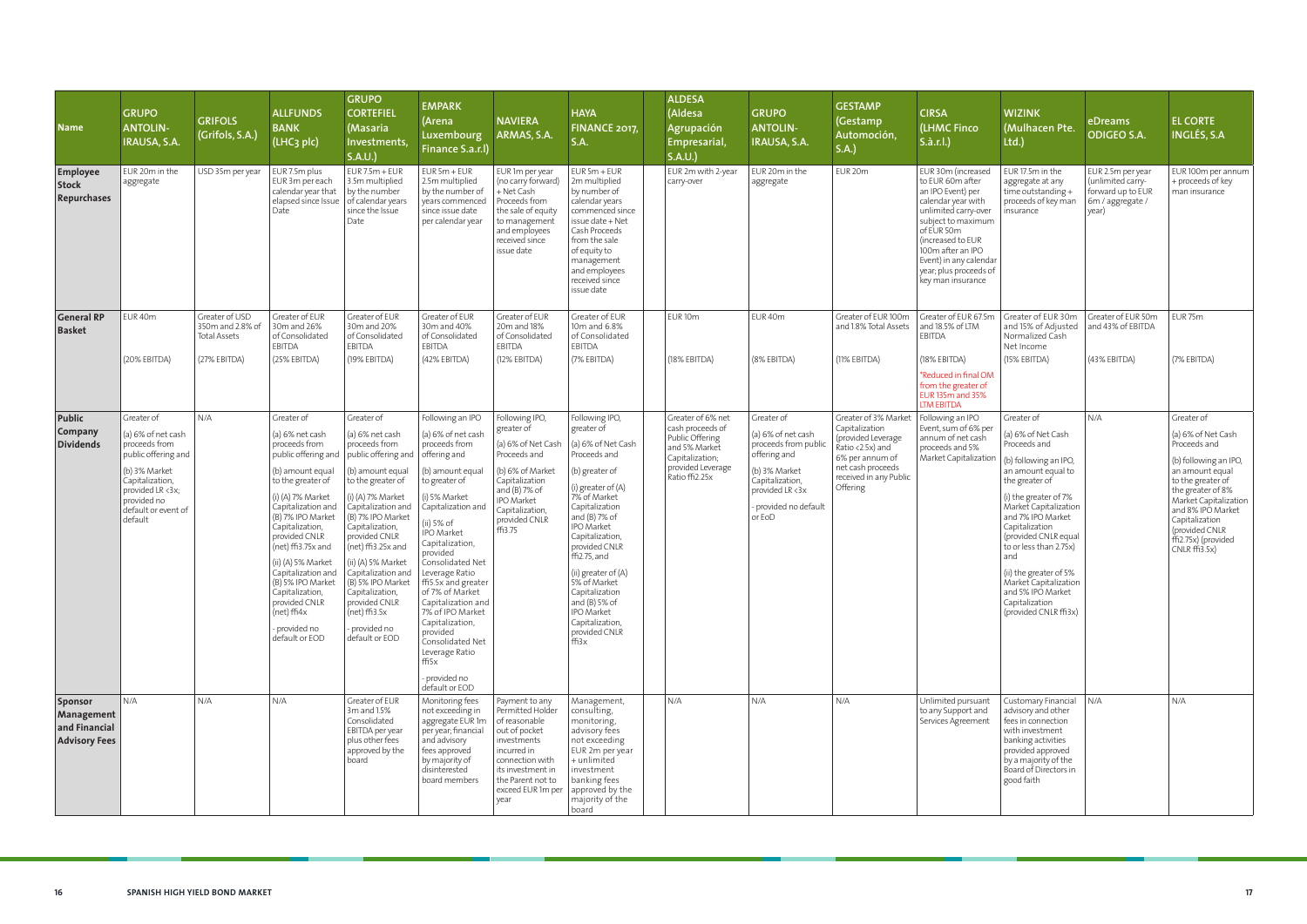| <b>Name</b>                                                           | <b>GRUPO</b><br><b>ANTOLIN-</b><br><b>IRAUSA, S.A.</b>                                                                                                                            | <b>GRIFOLS</b><br>(Grifols, S.A.)                         | <b>ALLFUNDS</b><br><b>BANK</b><br>(LHC <sub>3</sub> plc)                                                                                                                                                                                                                                                                                                                                             | <b>GRUPO</b><br><b>CORTEFIEL</b><br>(Masaria<br>Investments,<br>S.A.U.                                                                                                                                                                                                                                                                                                                                                  | <b>EMPARK</b><br>(Arena<br>Luxembourg<br>Finance S.a.r.l)                                                                                                                                                                                                                                                                                                                                                                                        | <b>NAVIERA</b><br>ARMAS, S.A.                                                                                                                                                                 | <b>HAYA</b><br><b>FINANCE 2017,</b><br>S.A.                                                                                                                                                                                                                                                                                                                                    | <b>ALDESA</b><br>(Aldesa<br>Agrupación<br>Empresarial,<br>S.A.U.                                                                    | <b>GRUPO</b><br><b>ANTOLIN-</b><br><b>IRAUSA, S.A.</b>                                                                                                                         | <b>GESTAMP</b><br>(Gestamp<br>Automoción,<br>S.A.)                                                                                                             | <b>CIRSA</b><br>(LHMC Finco<br>S.à.r.l.)                                                                                                                                                                                                                         | <b>WIZINK</b><br>(Mulhacen Pte.<br>Ltd.)                                                                                                                                                                                                                                                                                                                                               | eDreams<br><b>ODIGEO S.A.</b>                                                            | <b>EL CORTE</b><br><b>INGLÉS, S.A</b>                                                                                                                                                                                                                                 |
|-----------------------------------------------------------------------|-----------------------------------------------------------------------------------------------------------------------------------------------------------------------------------|-----------------------------------------------------------|------------------------------------------------------------------------------------------------------------------------------------------------------------------------------------------------------------------------------------------------------------------------------------------------------------------------------------------------------------------------------------------------------|-------------------------------------------------------------------------------------------------------------------------------------------------------------------------------------------------------------------------------------------------------------------------------------------------------------------------------------------------------------------------------------------------------------------------|--------------------------------------------------------------------------------------------------------------------------------------------------------------------------------------------------------------------------------------------------------------------------------------------------------------------------------------------------------------------------------------------------------------------------------------------------|-----------------------------------------------------------------------------------------------------------------------------------------------------------------------------------------------|--------------------------------------------------------------------------------------------------------------------------------------------------------------------------------------------------------------------------------------------------------------------------------------------------------------------------------------------------------------------------------|-------------------------------------------------------------------------------------------------------------------------------------|--------------------------------------------------------------------------------------------------------------------------------------------------------------------------------|----------------------------------------------------------------------------------------------------------------------------------------------------------------|------------------------------------------------------------------------------------------------------------------------------------------------------------------------------------------------------------------------------------------------------------------|----------------------------------------------------------------------------------------------------------------------------------------------------------------------------------------------------------------------------------------------------------------------------------------------------------------------------------------------------------------------------------------|------------------------------------------------------------------------------------------|-----------------------------------------------------------------------------------------------------------------------------------------------------------------------------------------------------------------------------------------------------------------------|
| <b>Employee</b><br><b>Stock</b><br>Repurchases                        | EUR 20m in the<br>aggregate                                                                                                                                                       | USD 35m per year                                          | EUR 7.5m plus<br>EUR 3m per each<br>calendar year that<br>elapsed since Issue<br>Date                                                                                                                                                                                                                                                                                                                | $EUR 7.5m + EUR$<br>3.5m multiplied<br>by the number<br>of calendar years<br>since the Issue<br>Date                                                                                                                                                                                                                                                                                                                    | $EUR5m + EUR$<br>2.5m multiplied<br>by the number of<br>years commenced<br>since issue date<br>per calendar year                                                                                                                                                                                                                                                                                                                                 | EUR 1m per year<br>(no carry forward)<br>+ Net Cash<br>Proceeds from<br>the sale of equity<br>to management<br>and employees<br>received since<br>issue date                                  | $EUR 5m + EUR$<br>2m multiplied<br>by number of<br>calendar years<br>commenced since<br>issue date + Net<br>Cash Proceeds<br>from the sale<br>of equity to<br>management<br>and employees<br>received since<br>issue date                                                                                                                                                      | EUR 2m with 2-year<br>carry-over                                                                                                    | EUR 20m in the<br>aggregate                                                                                                                                                    | EUR 20m                                                                                                                                                        | EUR 30m (increased<br>to EUR 60m after<br>an IPO Event) per<br>calendar year with<br>unlimited carry-over<br>subject to maximum<br>of EUR 50m<br>(increased to EUR<br>100m after an IPO<br>Event) in any calendar<br>year; plus proceeds of<br>key man insurance | EUR 17.5m in the<br>aggregate at any<br>time outstanding +<br>proceeds of key man<br>insurance                                                                                                                                                                                                                                                                                         | EUR 2.5m per year<br>(unlimited carry-<br>forward up to EUR<br>6m / aggregate /<br>year) | EUR 100m per annum<br>+ proceeds of key<br>man insurance                                                                                                                                                                                                              |
| <b>General RP</b><br><b>Basket</b>                                    | EUR 40m                                                                                                                                                                           | Greater of USD<br>350m and 2.8% of<br><b>Total Assets</b> | Greater of EUR<br>30m and 26%<br>of Consolidated<br>EBITDA                                                                                                                                                                                                                                                                                                                                           | Greater of EUR<br>30m and 20%<br>of Consolidated<br><b>EBITDA</b>                                                                                                                                                                                                                                                                                                                                                       | Greater of EUR<br>30m and 40%<br>of Consolidated<br><b>EBITDA</b>                                                                                                                                                                                                                                                                                                                                                                                | Greater of EUR<br>20m and 18%<br>of Consolidated<br>EBITDA                                                                                                                                    | Greater of EUR<br>10m and 6.8%<br>of Consolidated<br>EBITDA                                                                                                                                                                                                                                                                                                                    | EUR <sub>10m</sub>                                                                                                                  | EUR 40m                                                                                                                                                                        | Greater of EUR 100m<br>and 1.8% Total Assets                                                                                                                   | Greater of EUR 67.5m<br>and 18.5% of LTM<br>EBITDA                                                                                                                                                                                                               | Greater of EUR 30m<br>and 15% of Adjusted<br>Normalized Cash<br>Net Income                                                                                                                                                                                                                                                                                                             | Greater of EUR 50m<br>and 43% of EBITDA                                                  | EUR <sub>75m</sub>                                                                                                                                                                                                                                                    |
|                                                                       | (20% EBITDA)                                                                                                                                                                      | (27% EBITDA)                                              | (25% EBITDA)                                                                                                                                                                                                                                                                                                                                                                                         | (19% EBITDA)                                                                                                                                                                                                                                                                                                                                                                                                            | (42% EBITDA)                                                                                                                                                                                                                                                                                                                                                                                                                                     | (12% EBITDA)                                                                                                                                                                                  | (7% EBITDA)                                                                                                                                                                                                                                                                                                                                                                    | (18% EBITDA)                                                                                                                        | (8% EBITDA)                                                                                                                                                                    | (11% EBITDA)                                                                                                                                                   | (18% EBITDA)<br>*Reduced in final OM<br>from the greater of<br>EUR 135m and 35%<br><b>LTM EBITDA</b>                                                                                                                                                             | (15% EBITDA)                                                                                                                                                                                                                                                                                                                                                                           | (43% EBITDA)                                                                             | (7% EBITDA)                                                                                                                                                                                                                                                           |
| Public<br>Company<br><b>Dividends</b>                                 | Greater of<br>(a) 6% of net cash<br>proceeds from<br>public offering and<br>(b) 3% Market<br>Capitalization,<br>provided LR <3x;<br>provided no<br>default or event of<br>default | N/A                                                       | Greater of<br>(a) 6% net cash<br>proceeds from<br>public offering and<br>(b) amount equal<br>to the greater of<br>(i) (A) 7% Market<br>Capitalization and<br>(B) 7% IPO Market<br>Capitalization,<br>provided CNLR<br>$(net)$ ffi3.75 $x$ and<br>(ii) (A) 5% Market<br>Capitalization and<br>(B) 5% IPO Market<br>Capitalization,<br>provided CNLR<br>(net) ffi4x<br>- provided no<br>default or EOD | Greater of<br>(a) 6% net cash<br>proceeds from<br>public offering and $\int$ offering and<br>(b) amount equal<br>to the greater of<br>(i) (A) 7% Market<br>Capitalization and<br>(B) 7% IPO Market<br>Capitalization,<br>provided CNLR<br>(net) $ff13.25x$ and<br>(ii) (A) 5% Market<br>Capitalization and<br>(B) 5% IPO Market<br>Capitalization,<br>provided CNLR<br>$(net)$ ffi3.5x<br>provided no<br>default or EOD | Following an IPO<br>(a) 6% of net cash<br>proceeds from<br>(b) amount equal<br>to greater of<br>(i) 5% Market<br>Capitalization and<br>(ii) 5% of<br><b>IPO</b> Market<br>Capitalization,<br>provided<br>Consolidated Net<br>Leverage Ratio<br>  ffi5.5x and greater<br>of 7% of Market<br>Capitalization and<br>7% of IPO Market<br>Capitalization,<br>provided<br>Consolidated Net<br>Leverage Ratio<br>ffi5x<br>provided no<br>default or EOD | Following IPO,<br>greater of<br>(a) 6% of Net Cash<br>Proceeds and<br>(b) 6% of Market<br>Capitalization<br>and (B) 7% of<br><b>IPO Market</b><br>Capitalization,<br>provided CNLR<br>ffi3.75 | Following IPO,<br>greater of<br>(a) 6% of Net Cash<br>Proceeds and<br>(b) greater of<br>(i) greater of (A)<br>7% of Market<br>Capitalization<br>and $(B)$ 7% of<br><b>IPO Market</b><br>Capitalization<br>provided CNLR<br>ffi2.75, and<br>(ii) greater of (A)<br>5% of Market<br>Capitalization<br>and $(B)$ 5% of<br>IPO Market<br>Capitalization,<br>provided CNLR<br>ffi3x | Greater of 6% net<br>cash proceeds of<br>Public Offering<br>and 5% Market<br>Capitalization;<br>provided Leverage<br>Ratio ffi2.25x | Greater of<br>(a) 6% of net cash<br>proceeds from public<br>$\frac{1}{1}$ offering and<br>(b) 3% Market<br>Capitalization,<br>provided LR <3x<br>provided no default<br>or EoD | Greater of 3% Market<br>Capitalization<br>(provided Leverage<br>Ratio <2.5x) and<br>6% per annum of<br>net cash proceeds<br>received in any Public<br>Offering | Following an IPO<br>Event, sum of 6% per<br>annum of net cash<br>proceeds and 5%<br>Market Capitalization                                                                                                                                                        | Greater of<br>(a) 6% of Net Cash<br>Proceeds and<br>(b) following an IPO,<br>an amount equal to<br>the greater of<br>(i) the greater of 7%<br>Market Capitalization<br>and 7% IPO Market<br>Capitalization<br>(provided CNLR equal<br>to or less than 2.75x)<br>and<br>(ii) the greater of 5%<br>Market Capitalization<br>and 5% IPO Market<br>Capitalization<br>(provided CNLR ffi3x) | N/A                                                                                      | Greater of<br>(a) 6% of Net Cash<br>Proceeds and<br>(b) following an IPO,<br>an amount equal<br>to the greater of<br>the greater of 8%<br>Market Capitalization<br>and 8% IPO Market<br>Capitalization<br>(provided CNLR<br>ffi2.75x) (provided<br>$CNLR$ $ff13.5x$ ) |
| <b>Sponsor</b><br>Management<br>and Financial<br><b>Advisory Fees</b> | N/A                                                                                                                                                                               | N/A                                                       | N/A                                                                                                                                                                                                                                                                                                                                                                                                  | Greater of EUR<br>3m and 1.5%<br>Consolidated<br>EBITDA per year<br>plus other fees<br>approved by the<br>board                                                                                                                                                                                                                                                                                                         | Monitoring fees<br>not exceeding in<br>aggregate EUR 1m<br>per year; financial<br>and advisory<br>fees approved<br>by majority of<br>disinterested<br>board members                                                                                                                                                                                                                                                                              | Payment to any<br>Permitted Holder<br>of reasonable<br>out of pocket<br>investments<br>incurred in<br>connection with<br>its investment in<br>the Parent not to<br>exceed EUR 1m per<br>year  | Management,<br>consulting,<br>monitoring,<br>advisory fees<br>not exceeding<br>EUR 2m per year<br>+ unlimited<br>investment<br>banking fees<br>approved by the<br>majority of the<br>board                                                                                                                                                                                     | N/A                                                                                                                                 | N/A                                                                                                                                                                            | N/A                                                                                                                                                            | Unlimited pursuant<br>to any Support and<br>Services Agreement                                                                                                                                                                                                   | Customary Financial<br>advisory and other<br>fees in connection<br>with investment<br>banking activities<br>provided approved<br>by a majority of the<br>Board of Directors in<br>good faith                                                                                                                                                                                           | N/A                                                                                      | N/A                                                                                                                                                                                                                                                                   |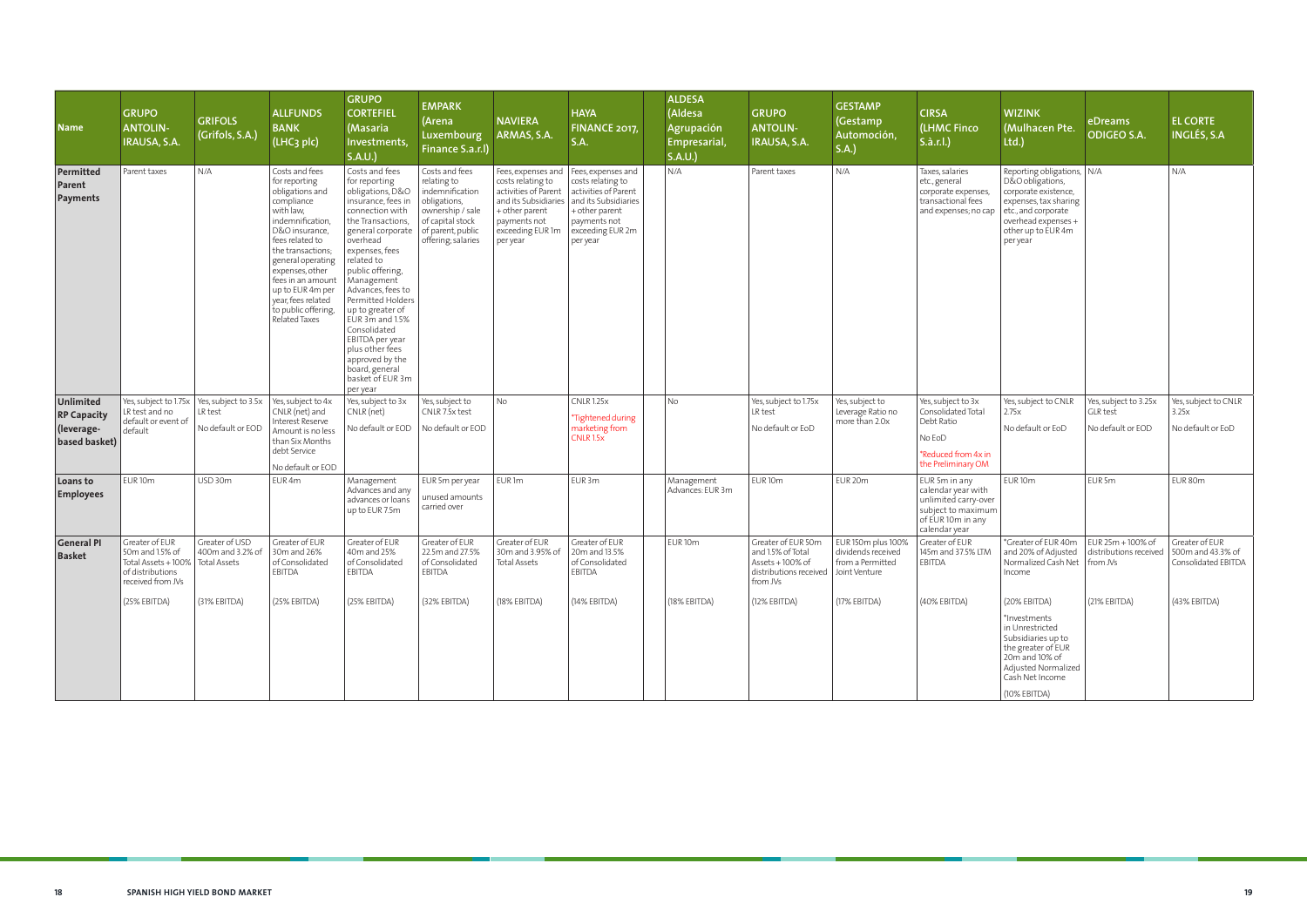| <b>Name</b>                                                           | <b>GRUPO</b><br><b>ANTOLIN-</b><br>IRAUSA, S.A.                                                                  | <b>GRIFOLS</b><br>(Grifols, S.A.)  | <b>ALLFUNDS</b><br><b>BANK</b><br>(LHC <sub>3</sub> plc)                                                                                                                                                                                                                                                          | <b>GRUPO</b><br><b>CORTEFIEL</b><br>(Masaria<br>Investments,<br>S.A.U.                                                                                                                                                                                                                                                                                                                                                           | <b>EMPARK</b><br>(Arena<br><b>Luxembourg</b><br>Finance S.a.r.l)                                                                                    | <b>NAVIERA</b><br>ARMAS, S.A.                                                                                                                             | <b>HAYA</b><br><b>FINANCE 2017,</b><br><b>S.A.</b>                                                                                                        | <b>ALDESA</b><br>(Aldesa<br><b>Agrupación</b><br>Empresarial,<br>S.A.U. | <b>GRUPO</b><br><b>ANTOLIN-</b><br>IRAUSA, S.A.                                                                     | <b>GESTAMP</b><br>(Gestamp<br>Automoción,<br>S.A.)           | <b>CIRSA</b><br>(LHMC Finco<br>S.à.r.l.)                                                                                | <b>WIZINK</b><br>(Mulhacen Pte.<br>Itd.                                                                                                                                           | eDreams<br><b>ODIGEO S.A.</b>                              | <b>EL CORTE</b><br><b>INGLÉS, S.A</b>                      |
|-----------------------------------------------------------------------|------------------------------------------------------------------------------------------------------------------|------------------------------------|-------------------------------------------------------------------------------------------------------------------------------------------------------------------------------------------------------------------------------------------------------------------------------------------------------------------|----------------------------------------------------------------------------------------------------------------------------------------------------------------------------------------------------------------------------------------------------------------------------------------------------------------------------------------------------------------------------------------------------------------------------------|-----------------------------------------------------------------------------------------------------------------------------------------------------|-----------------------------------------------------------------------------------------------------------------------------------------------------------|-----------------------------------------------------------------------------------------------------------------------------------------------------------|-------------------------------------------------------------------------|---------------------------------------------------------------------------------------------------------------------|--------------------------------------------------------------|-------------------------------------------------------------------------------------------------------------------------|-----------------------------------------------------------------------------------------------------------------------------------------------------------------------------------|------------------------------------------------------------|------------------------------------------------------------|
| Permitted<br>Parent<br>Payments                                       | Parent taxes                                                                                                     | N/A                                | Costs and fees<br>for reporting<br>obligations and<br>compliance<br>with law,<br>indemnification,<br>D&O insurance,<br>fees related to<br>the transactions;<br>general operating<br>expenses, other<br>fees in an amount<br>up to EUR 4m per<br>year, fees related<br>to public offering,<br><b>Related Taxes</b> | Costs and fees<br>for reporting<br>obligations, D&O<br>insurance, fees in<br>connection with<br>the Transactions.<br>general corporate<br>overhead<br>expenses, fees<br>related to<br>public offering,<br>Management<br>Advances, fees to<br>Permitted Holders<br>up to greater of<br>EUR 3m and 1.5%<br>Consolidated<br>EBITDA per year<br>plus other fees<br>approved by the<br>board, general<br>basket of EUR 3m<br>per year | Costs and fees<br>relating to<br>indemnification<br>obligations,<br>ownership / sale<br>of capital stock<br>of parent, public<br>offering; salaries | Fees, expenses and<br>costs relating to<br>activities of Parent<br>and its Subsidiaries<br>+ other parent<br>payments not<br>exceeding EUR 1m<br>per year | Fees, expenses and<br>costs relating to<br>activities of Parent<br>and its Subsidiaries<br>+ other parent<br>payments not<br>exceeding EUR 2m<br>per year | N/A                                                                     | Parent taxes                                                                                                        | N/A                                                          | Taxes, salaries<br>etc., general<br>corporate expenses,<br>transactional fees<br>and expenses; no cap                   | Reporting obligations,   N/A<br>D&O obligations,<br>corporate existence,<br>expenses, tax sharing<br>etc., and corporate<br>overhead expenses +<br>other up to EUR 4m<br>per year |                                                            | N/A                                                        |
| <b>Unlimited</b><br><b>RP Capacity</b><br>(leverage-<br>based basket) | Yes, subject to 1.75x   Yes, subject to 3.5x<br>LR test and no<br>default or event of<br>default                 | LR test<br>No default or EOD       | Yes, subject to 4x<br>CNLR (net) and<br>Interest Reserve<br>Amount is no less<br>than Six Months<br>debt Service<br>No default or EOD                                                                                                                                                                             | Yes, subject to 3x<br>CNLR (net)<br>No default or EOD                                                                                                                                                                                                                                                                                                                                                                            | Yes, subject to<br>CNLR 7.5x test<br>No default or EOD                                                                                              | No                                                                                                                                                        | <b>CNLR 1.25x</b><br>*Tightened during<br>marketing from<br><b>CNLR 1.5x</b>                                                                              | <b>No</b>                                                               | Yes, subject to 1.75x<br>LR test<br>No default or EoD                                                               | Yes, subject to<br>Leverage Ratio no<br>more than 2.0x       | Yes, subject to 3x<br>Consolidated Total<br>Debt Ratio<br>No EoD<br>*Reduced from 4x in<br>the Preliminary OM           | Yes, subject to CNLR<br>2.75x<br>No default or EoD                                                                                                                                | Yes, subject to 3.25x<br>GLR test<br>No default or EOD     | Yes, subject to CNLR<br>3.25x<br>No default or EoD         |
| Loans to<br><b>Employees</b>                                          | EUR <sub>10m</sub>                                                                                               | USD 30m                            | EUR 4m                                                                                                                                                                                                                                                                                                            | Management<br>Advances and any<br>advances or loans<br>up to EUR 7.5m                                                                                                                                                                                                                                                                                                                                                            | EUR 5m per year<br>unused amounts<br>carried over                                                                                                   | EUR <sub>1m</sub>                                                                                                                                         | EUR 3m                                                                                                                                                    | Management<br>Advances: EUR 3m                                          | EUR <sub>10m</sub>                                                                                                  | EUR 20m                                                      | EUR 5m in any<br>calendar year with<br>unlimited carry-over<br>subject to maximum<br>of EUR 10m in any<br>calendar year | EUR <sub>10m</sub>                                                                                                                                                                | EUR <sub>5m</sub>                                          | EUR 80m                                                    |
| <b>General PI</b><br><b>Basket</b>                                    | Greater of EUR<br>50m and 1.5% of<br>Total Assets + 100%   Total Assets<br>of distributions<br>received from JVs | Greater of USD<br>400m and 3.2% of | Greater of EUR<br>30m and 26%<br>of Consolidated<br>EBITDA                                                                                                                                                                                                                                                        | Greater of EUR<br>40m and 25%<br>of Consolidated<br>EBITDA                                                                                                                                                                                                                                                                                                                                                                       | Greater of EUR<br>22.5m and 27.5%<br>of Consolidated<br><b>EBITDA</b>                                                                               | Greater of EUR<br>30m and 3.95% of<br>Total Assets                                                                                                        | Greater of EUR<br>20m and 13.5%<br>of Consolidated<br><b>EBITDA</b>                                                                                       | EUR <sub>10m</sub>                                                      | Greater of EUR 50m<br>and 1.5% of Total<br>Assets $+100\%$ of<br>distributions received   Joint Venture<br>trom JVs | EUR 150m plus 100%<br>dividends received<br>from a Permitted | Greater of EUR<br>145m and 37.5% LTM<br>EBITDA                                                                          | *Greater of EUR 40m<br>and 20% of Adjusted<br>Normalized Cash Net<br>Income                                                                                                       | $EUR 25m + 100\%$ of<br>distributions received<br>from JVs | Greater of EUR<br>500m and 43.3% of<br>Consolidated EBITDA |
|                                                                       | (25% EBITDA)                                                                                                     | (31% EBITDA)                       | (25% EBITDA)                                                                                                                                                                                                                                                                                                      | (25% EBITDA)                                                                                                                                                                                                                                                                                                                                                                                                                     | (32% EBITDA)                                                                                                                                        | (18% EBITDA)                                                                                                                                              | (14% EBITDA)                                                                                                                                              | (18% EBITDA)                                                            | (12% EBITDA)                                                                                                        | (17% EBITDA)                                                 | (40% EBITDA)                                                                                                            | (20% EBITDA)<br>*Investments<br>in Unrestricted<br>Subsidiaries up to<br>the greater of EUR<br>20m and 10% of<br>Adjusted Normalized<br>Cash Net Income<br>(10% EBITDA)           | $(21%$ EBITDA)                                             | (43% EBITDA)                                               |

**State State**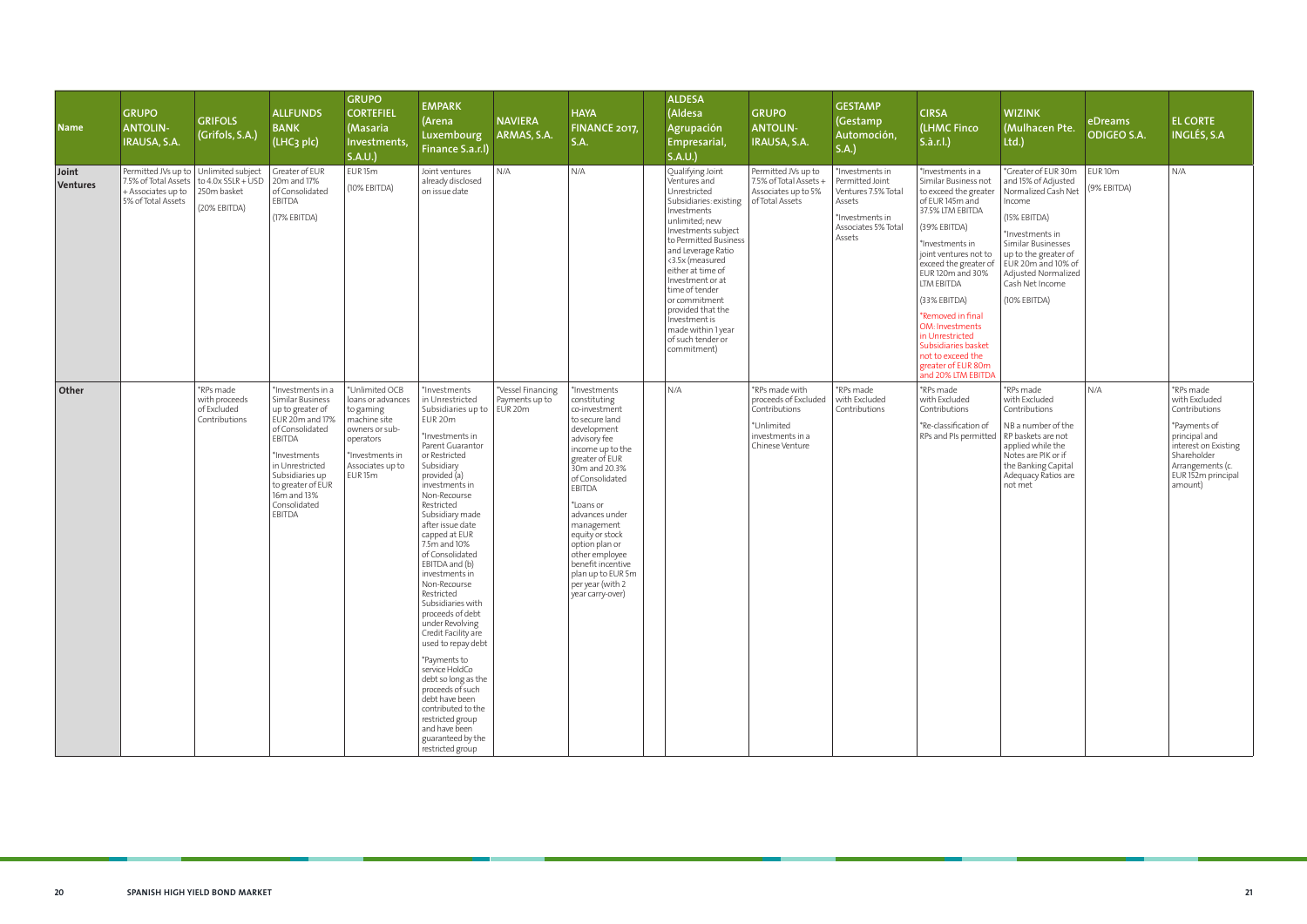| <b>Name</b>       | <b>GRUPO</b><br><b>ANTOLIN-</b><br>IRAUSA, S.A.                                                             | <b>GRIFOLS</b><br>(Grifols, S.A.)                          | <b>ALLFUNDS</b><br><b>BANK</b><br>(LHC <sub>3</sub> plc)                                                                                                                                                                      | <b>GRUPO</b><br><b>CORTEFIEL</b><br>(Masaria<br>Investments,<br>S.A.U.                                                                                       | <b>EMPARK</b><br>(Arena<br>Luxembourg<br>Finance S.a.r.l)                                                                                                                                                                                                                                                                                                                                                                                                                                                                                                                                                                                                                                 | <b>NAVIERA</b><br>ARMAS, S.A.       | <b>HAYA</b><br>FINANCE 2017,<br><b>S.A.</b>                                                                                                                                                                                                                                                                                                                              | <b>ALDESA</b><br>(Aldesa<br>Agrupación<br>Empresarial,<br>S.A.U.                                                                                                                                                                                                                                                                                                                 | <b>GRUPO</b><br><b>ANTOLIN-</b><br>IRAUSA, S.A.                                                              | <b>GESTAMP</b><br>(Gestamp<br>Automoción,<br>S.A.                                                                       | <b>CIRSA</b><br>(LHMC Finco<br>S.à.r.l.)                                                                                                                                                                                                                                                                                                                                                                   |
|-------------------|-------------------------------------------------------------------------------------------------------------|------------------------------------------------------------|-------------------------------------------------------------------------------------------------------------------------------------------------------------------------------------------------------------------------------|--------------------------------------------------------------------------------------------------------------------------------------------------------------|-------------------------------------------------------------------------------------------------------------------------------------------------------------------------------------------------------------------------------------------------------------------------------------------------------------------------------------------------------------------------------------------------------------------------------------------------------------------------------------------------------------------------------------------------------------------------------------------------------------------------------------------------------------------------------------------|-------------------------------------|--------------------------------------------------------------------------------------------------------------------------------------------------------------------------------------------------------------------------------------------------------------------------------------------------------------------------------------------------------------------------|----------------------------------------------------------------------------------------------------------------------------------------------------------------------------------------------------------------------------------------------------------------------------------------------------------------------------------------------------------------------------------|--------------------------------------------------------------------------------------------------------------|-------------------------------------------------------------------------------------------------------------------------|------------------------------------------------------------------------------------------------------------------------------------------------------------------------------------------------------------------------------------------------------------------------------------------------------------------------------------------------------------------------------------------------------------|
| Joint<br>Ventures | Permitted JVs up to   Unlimited subject<br>7.5% of Total Assets<br>+ Associates up to<br>5% of Total Assets | to 4.0x SSLR + USD<br>250m basket<br>(20% EBITDA)          | Greater of EUR<br>20m and 17%<br>of Consolidated<br>EBITDA<br>(17% EBITDA)                                                                                                                                                    | EUR <sub>15m</sub><br>(10% EBITDA)                                                                                                                           | Joint ventures<br>already disclosed<br>on issue date                                                                                                                                                                                                                                                                                                                                                                                                                                                                                                                                                                                                                                      | N/A                                 | N/A                                                                                                                                                                                                                                                                                                                                                                      | Qualifying Joint<br>Ventures and<br>Unrestricted<br>Subsidiaries: existing<br>Investments<br>unlimited; new<br>Investments subject<br>to Permitted Business<br>and Leverage Ratio<br><3.5x (measured<br>either at time of<br>Investment or at<br>time of tender<br>or commitment<br>provided that the<br>Investment is<br>made within 1 year<br>of such tender or<br>commitment) | Permitted JVs up to<br>7.5% of Total Assets +<br>Associates up to 5%<br>of Total Assets                      | *Investments in<br>Permitted Joint<br>Ventures 7.5% Total<br>Assets<br>*Investments in<br>Associates 5% Total<br>Assets | *Investments in a<br>Similar Business not<br>to exceed the greater<br>of EUR 145m and<br>37.5% LTM EBITDA<br>(39% EBITDA)<br>*Investments in<br>joint ventures not to<br>exceed the greater of<br>EUR 120m and 30%<br><b>LTM EBITDA</b><br>(33% EBITDA)<br>*Removed in final<br>OM: Investments<br>in Unrestricted<br>Subsidiaries basket<br>not to exceed the<br>greater of EUR 80m<br>and 20% LTM EBITDA |
| Other             |                                                                                                             | *RPs made<br>with proceeds<br>of Excluded<br>Contributions | *Investments in a<br>Similar Business<br>up to greater of<br>EUR 20m and 17%<br>of Consolidated<br>EBITDA<br>*Investments<br>in Unrestricted<br>Subsidiaries up<br>to greater of EUR<br>16m and 13%<br>Consolidated<br>EBITDA | *Unlimited OCB<br>loans or advances<br>to gaming<br>machine site<br>owners or sub-<br>operators<br>*Investments in<br>Associates up to<br>EUR <sub>15m</sub> | *Investments<br>in Unrestricted<br>Subsidiaries up to   EUR 20m<br>EUR 20m<br>*Investments in<br>Parent Guarantor<br>or Restricted<br>Subsidiary<br>provided (a)<br>investments in<br>Non-Recourse<br>Restricted<br>Subsidiary made<br>after issue date<br>capped at EUR<br>7.5m and 10%<br>of Consolidated<br>EBITDA and (b)<br>investments in<br>Non-Recourse<br>Restricted<br>Subsidiaries with<br>proceeds of debt<br>under Revolving<br>Credit Facility are<br>used to repay debt<br>*Payments to<br>service HoldCo<br>debt so long as the<br>proceeds of such<br>debt have been<br>contributed to the<br>restricted group<br>and have been<br>guaranteed by the<br>restricted group | *Vessel Financing<br>Payments up to | *Investments<br>constituting<br>co-investment<br>to secure land<br>development<br>advisory fee<br>income up to the<br>greater of EUR<br>30m and 20.3%<br>of Consolidated<br>EBITDA<br>*Loans or<br>advances under<br>management<br>equity or stock<br>option plan or<br>other employee<br>benefit incentive<br>plan up to EUR 5m<br>per year (with 2<br>year carry-over) | N/A                                                                                                                                                                                                                                                                                                                                                                              | *RPs made with<br>proceeds of Excluded<br>Contributions<br>*Unlimited<br>investments in a<br>Chinese Venture | *RPs made<br>with Excluded<br>Contributions                                                                             | *RPs made<br>with Excluded<br>Contributions<br>*Re-classification of<br>RPs and PIs permitted                                                                                                                                                                                                                                                                                                              |

|          | <b>WIZINK</b><br>(Mulhacen Pte.<br>Ltd.)                                                                                                      | eDreams<br><b>ODIGEO S.A.</b>     | <b>EL CORTE</b><br><b>INGLÉS, S.A</b>                                                                                     |
|----------|-----------------------------------------------------------------------------------------------------------------------------------------------|-----------------------------------|---------------------------------------------------------------------------------------------------------------------------|
| ۱t<br>er | *Greater of EUR 30m<br>and 15% of Adjusted<br>Normalized Cash Net<br>Income                                                                   | EUR <sub>10m</sub><br>(9% EBITDA) | N/A                                                                                                                       |
|          | (15% EBITDA)                                                                                                                                  |                                   |                                                                                                                           |
| O<br>of  | *Investments in<br>Similar Businesses<br>up to the greater of<br>EUR 20m and 10% of<br>Adjusted Normalized<br>Cash Net Income                 |                                   |                                                                                                                           |
|          | (10% EBITDA)                                                                                                                                  |                                   |                                                                                                                           |
|          |                                                                                                                                               |                                   |                                                                                                                           |
| n        |                                                                                                                                               |                                   |                                                                                                                           |
| ЭA       |                                                                                                                                               |                                   |                                                                                                                           |
|          | *RPs made<br>with Excluded<br>Contributions                                                                                                   | N/A                               | *RPs made<br>with Excluded<br>Contributions                                                                               |
| ed       | NB a number of the<br>RP baskets are not<br>applied while the<br>Notes are PIK or if<br>the Banking Capital<br>Adequacy Ratios are<br>not met |                                   | *Payments of<br>principal and<br>interest on Existing<br>Shareholder<br>Arrangements (c.<br>EUR 152m principal<br>amount) |
|          |                                                                                                                                               |                                   |                                                                                                                           |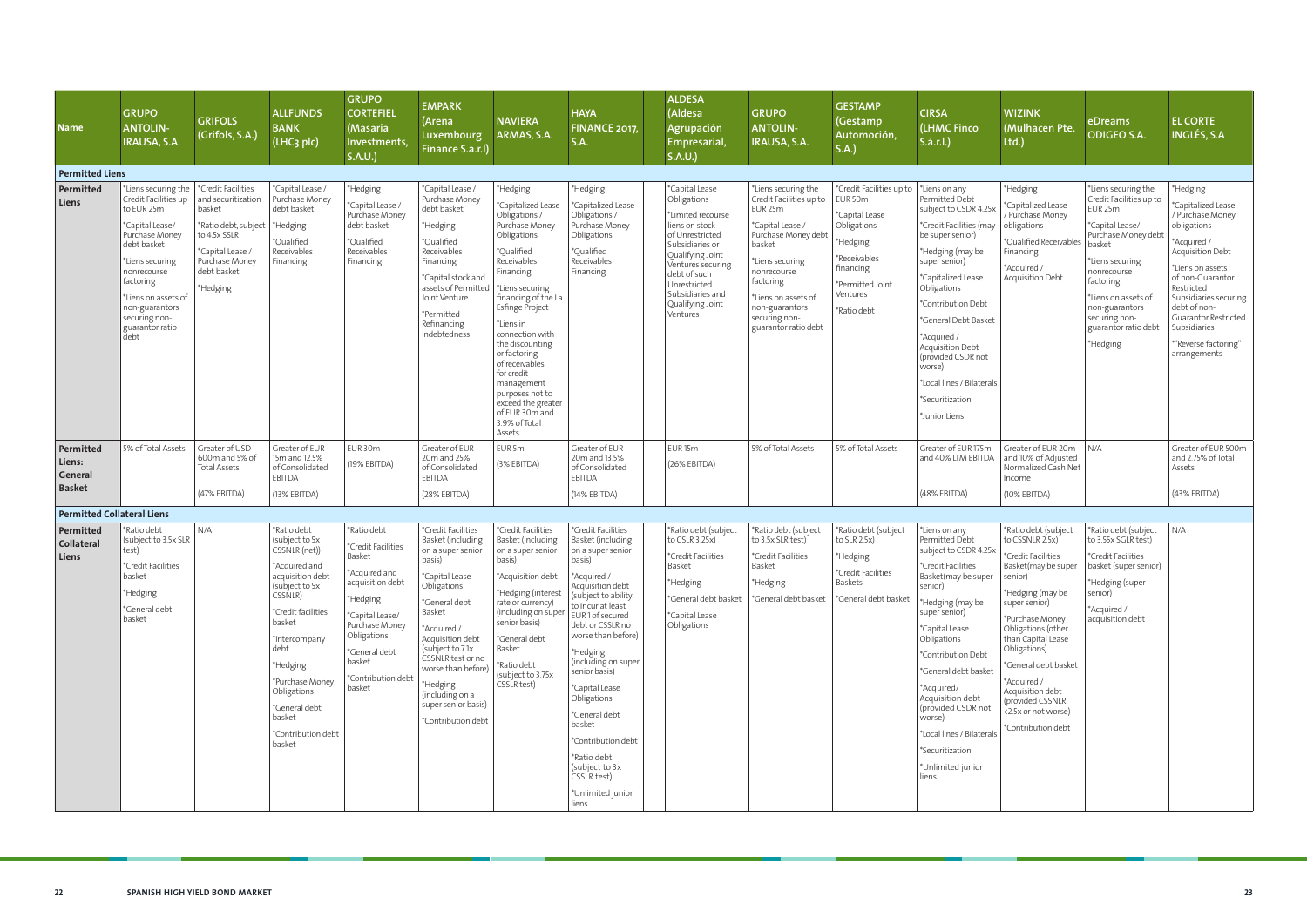| <b>Name</b>                                     | <b>GRUPO</b><br><b>ANTOLIN-</b><br><b>IRAUSA, S.A.</b>                                                                                                                                                                                            | <b>GRIFOLS</b><br>(Grifols, S.A.)                                                                                                                                       | <b>ALLFUNDS</b><br><b>BANK</b><br>(LHC3 plc)                                                                                                                                                                                                                                       | <b>GRUPO</b><br><b>CORTEFIEL</b><br>(Masaria<br>Investments,<br>S.A.U.                                                                                                                                      | <b>EMPARK</b><br>(Arena<br>Luxembourg<br>Finance S.a.r.l)                                                                                                                                                                                                                                                         | <b>NAVIERA</b><br>ARMAS, S.A.                                                                                                                                                                                                                                                                                                                                                                  | <b>HAYA</b><br><b>FINANCE 2017,</b><br><b>S.A.</b>                                                                                                                                                                                                                                                                                                                                                                                     | <b>ALDESA</b><br>(Aldesa<br><b>Agrupación</b><br><b>Empresarial</b><br>S.A.U.                                                                                                                                                           | <b>GRUPO</b><br><b>ANTOLIN-</b><br><b>IRAUSA, S.A.</b>                                                                                                                                                                                                    | <b>GESTAMP</b><br>(Gestamp<br>Automoción,<br>S.A.)                                                                                                           | <b>CIRSA</b><br>(LHMC Finco<br>S.à.r.l.)                                                                                                                                                                                                                                                                                                                                           | <b>WIZINK</b><br>(Mulhacen Pte.<br>Ltd.)                                                                                                                                                                                                                                                                                                        | eDreams<br><b>ODIGEO S.A.</b>                                                                                                                                                                                                                              | <b>EL CORTE</b><br><b>INGLÉS, S.A</b>                                                                                                                                                                                                                                                      |
|-------------------------------------------------|---------------------------------------------------------------------------------------------------------------------------------------------------------------------------------------------------------------------------------------------------|-------------------------------------------------------------------------------------------------------------------------------------------------------------------------|------------------------------------------------------------------------------------------------------------------------------------------------------------------------------------------------------------------------------------------------------------------------------------|-------------------------------------------------------------------------------------------------------------------------------------------------------------------------------------------------------------|-------------------------------------------------------------------------------------------------------------------------------------------------------------------------------------------------------------------------------------------------------------------------------------------------------------------|------------------------------------------------------------------------------------------------------------------------------------------------------------------------------------------------------------------------------------------------------------------------------------------------------------------------------------------------------------------------------------------------|----------------------------------------------------------------------------------------------------------------------------------------------------------------------------------------------------------------------------------------------------------------------------------------------------------------------------------------------------------------------------------------------------------------------------------------|-----------------------------------------------------------------------------------------------------------------------------------------------------------------------------------------------------------------------------------------|-----------------------------------------------------------------------------------------------------------------------------------------------------------------------------------------------------------------------------------------------------------|--------------------------------------------------------------------------------------------------------------------------------------------------------------|------------------------------------------------------------------------------------------------------------------------------------------------------------------------------------------------------------------------------------------------------------------------------------------------------------------------------------------------------------------------------------|-------------------------------------------------------------------------------------------------------------------------------------------------------------------------------------------------------------------------------------------------------------------------------------------------------------------------------------------------|------------------------------------------------------------------------------------------------------------------------------------------------------------------------------------------------------------------------------------------------------------|--------------------------------------------------------------------------------------------------------------------------------------------------------------------------------------------------------------------------------------------------------------------------------------------|
| <b>Permitted Liens</b>                          |                                                                                                                                                                                                                                                   |                                                                                                                                                                         |                                                                                                                                                                                                                                                                                    |                                                                                                                                                                                                             |                                                                                                                                                                                                                                                                                                                   |                                                                                                                                                                                                                                                                                                                                                                                                |                                                                                                                                                                                                                                                                                                                                                                                                                                        |                                                                                                                                                                                                                                         |                                                                                                                                                                                                                                                           |                                                                                                                                                              |                                                                                                                                                                                                                                                                                                                                                                                    |                                                                                                                                                                                                                                                                                                                                                 |                                                                                                                                                                                                                                                            |                                                                                                                                                                                                                                                                                            |
| Permitted<br>Liens                              | *Liens securing the<br>Credit Facilities up<br>to EUR 25m<br>*Capital Lease/<br>Purchase Money<br>debt basket<br>*Liens securing<br>nonrecourse<br>factoring<br>*Liens on assets of<br>non-guarantors<br>securing non-<br>guarantor ratio<br>debt | <sup>*</sup> Credit Facilities<br>and securitization<br>basket<br>*Ratio debt, subject<br>to 4.5x SSLR<br>*Capital Lease /<br>Purchase Money<br>debt basket<br>*Hedging | *Capital Lease<br>Purchase Money<br>debt basket<br>*Hedging<br>*Qualified<br>Receivables<br>Financing                                                                                                                                                                              | *Hedging<br>*Capital Lease /<br>Purchase Money<br>debt basket<br>*Oualified<br>Receivables<br>Financing                                                                                                     | *Capital Lease /<br>Purchase Money<br>debt basket<br>*Hedging<br>*Qualified<br>Receivables<br>Financing<br>*Capital stock and<br>assets of Permitted<br>Joint Venture<br>*Permitted<br>Refinancing<br>Indebtedness                                                                                                | *Hedging<br>*Capitalized Lease<br>Obligations /<br>Purchase Money<br>Obligations<br>*Qualified<br>Receivables<br>Financing<br>*Liens securing<br>financing of the La<br>Esfinge Project<br>*Liens in<br>connection with<br>the discounting<br>or factoring<br>of receivables<br>for credit<br>management<br>purposes not to<br>exceed the greater<br>of EUR 30m and<br>3.9% of Total<br>Assets | *Hedging<br>*Capitalized Lease<br>Obligations /<br>Purchase Money<br>Obligations<br>*Oualified<br>Receivables<br>Financing                                                                                                                                                                                                                                                                                                             | *Capital Lease<br>Obligations<br>*Limited recourse<br>liens on stock<br>of Unrestricted<br>Subsidiaries or<br>Qualifying Joint<br>Ventures securing<br>debt of such<br>Unrestricted<br>Subsidiaries and<br>Qualifying Joint<br>Ventures | *Liens securing the<br>Credit Facilities up to<br>EUR <sub>25m</sub><br>*Capital Lease /<br>Purchase Money debt<br>basket<br>*Liens securing<br>nonrecourse<br>factoring<br>Liens on assets of<br>non-guarantors<br>securing non-<br>guarantor ratio debt | *Credit Facilities up to<br>EUR 50m<br>*Capital Lease<br>Obligations<br>*Hedging<br>*Receivables<br>financing<br>*Permitted Joint<br>Ventures<br>*Ratio debt | "Liens on any<br>Permitted Debt<br>subject to CSDR 4.25x<br>*Credit Facilities (may<br>be super senior)<br>*Hedging (may be<br>super senior)<br>*Capitalized Lease<br>Obligations<br>*Contribution Debt<br>*General Debt Basket<br>*Acquired /<br>Acquisition Debt<br>(provided CSDR not<br>worse)<br>*Local lines / Bilaterals<br>*Securitization<br>*Junior Liens                | *Hedging<br>*Capitalized Lease<br>/ Purchase Money<br>obligations<br>*Qualified Receivables<br>Financing<br>*Acquired /<br>Acquisition Debt                                                                                                                                                                                                     | *Liens securing the<br>Credit Facilities up to<br>EUR 25m<br>*Capital Lease/<br>Purchase Money debt<br>basket<br>*Liens securing<br>nonrecourse<br>factoring<br>*Liens on assets of<br>non-guarantors<br>securing non-<br>guarantor ratio debt<br>*Hedging | *Hedging<br>*Capitalized Lease<br>/ Purchase Money<br>obligations<br>*Acquired /<br>Acquisition Debt<br>*Liens on assets<br>of non-Guarantor<br>Restricted<br>Subsidiaries securing<br>debt of non-<br><b>Guarantor Restricted</b><br>Subsidiaries<br>*"Reverse factoring"<br>arrangements |
| Permitted<br>Liens:<br>General<br><b>Basket</b> | 5% of Total Assets                                                                                                                                                                                                                                | Greater of USD<br>600m and 5% of<br><b>Total Assets</b><br>(47% EBITDA)                                                                                                 | Greater of EUR<br>15m and 12.5%<br>of Consolidated<br>EBITDA<br>(13% EBITDA)                                                                                                                                                                                                       | EUR 30m<br>(19% EBITDA)                                                                                                                                                                                     | Greater of EUR<br>20m and 25%<br>of Consolidated<br>EBITDA<br>(28% EBITDA)                                                                                                                                                                                                                                        | EUR 5m<br>(3% EBITDA)                                                                                                                                                                                                                                                                                                                                                                          | Greater of EUR<br>20m and 13.5%<br>of Consolidated<br><b>EBITDA</b><br>(14% EBITDA)                                                                                                                                                                                                                                                                                                                                                    | EUR <sub>15m</sub><br>(26% EBITDA)                                                                                                                                                                                                      | 5% of Total Assets                                                                                                                                                                                                                                        | 5% of Total Assets                                                                                                                                           | Greater of EUR 175m<br>and 40% LTM EBITDA<br>(48% EBITDA)                                                                                                                                                                                                                                                                                                                          | Greater of EUR 20m<br>and 10% of Adjusted<br>Normalized Cash Net<br>Income<br>$(10\%$ EBITDA)                                                                                                                                                                                                                                                   | N/A                                                                                                                                                                                                                                                        | Greater of EUR 500m<br>and 2.75% of Total<br>Assets<br>(43% EBITDA)                                                                                                                                                                                                                        |
| <b>Permitted Collateral Liens</b>               |                                                                                                                                                                                                                                                   |                                                                                                                                                                         |                                                                                                                                                                                                                                                                                    |                                                                                                                                                                                                             |                                                                                                                                                                                                                                                                                                                   |                                                                                                                                                                                                                                                                                                                                                                                                |                                                                                                                                                                                                                                                                                                                                                                                                                                        |                                                                                                                                                                                                                                         |                                                                                                                                                                                                                                                           |                                                                                                                                                              |                                                                                                                                                                                                                                                                                                                                                                                    |                                                                                                                                                                                                                                                                                                                                                 |                                                                                                                                                                                                                                                            |                                                                                                                                                                                                                                                                                            |
| Permitted<br><b>Collateral</b><br>Liens         | *Ratio debt<br>(subject to 3.5x SLR<br>test)<br>*Credit Facilities<br>basket<br>*Hedging<br>*General debt<br>basket                                                                                                                               | N/A                                                                                                                                                                     | *Ratio debt<br>(subject to 5x<br>CSSNLR (net))<br>*Acquired and<br>acquisition debt<br>(subject to 5x<br>CSSNLR)<br>*Credit facilities<br>basket<br>*Intercompany<br>debt<br>*Hedging<br>*Purchase Money<br>Obligations<br>*General debt<br>basket<br>*Contribution debt<br>basket | *Ratio debt<br>*Credit Facilities<br>Basket<br>*Acquired and<br>acquisition debt<br>*Hedging<br>*Capital Lease/<br>Purchase Money<br>Obligations<br>*General debt<br>basket<br>*Contribution debt<br>basket | *Credit Facilities<br>Basket (including<br>on a super senior<br>basis)<br>*Capital Lease<br>Obligations<br>*General debt<br>Basket<br>*Acquired /<br>Acquisition debt<br>(subject to 7.1x)<br>CSSNLR test or no<br>worse than before)<br>*Hedging<br>(including on a<br>super senior basis)<br>*Contribution debt | *Credit Facilities<br>Basket (including<br>on a super senior<br>basis)<br>*Acquisition debt<br>*Hedging (interest<br>rate or currency)<br>(including on super<br>senior basis)<br>*General debt<br>Basket<br>*Ratio debt<br>(subject to 3.75x<br>CSSLR test)                                                                                                                                   | *Credit Facilities<br>Basket (including<br>on a super senior<br>basis)<br>*Acquired /<br>Acquisition debt<br>(subject to ability<br>to incur at least<br>EUR1 of secured<br>debt or CSSLR no<br>worse than before)<br>*Hedging<br>(including on super<br>senior basis)<br>*Capital Lease<br>Obligations<br>*General debt<br>basket<br>*Contribution debt<br>*Ratio debt<br>(subject to 3x<br>CSSLR test)<br>*Unlimited junior<br>liens | *Ratio debt (subject<br>to CSLR 3.25x)<br>*Credit Facilities<br>Basket<br>*Hedging<br>*General debt basket<br>*Capital Lease<br>Obligations                                                                                             | *Ratio debt (subject<br>to 3.5x SLR test)<br>*Credit Facilities<br>Basket<br>*Hedging<br>*General debt basket                                                                                                                                             | *Ratio debt (subject<br>to SLR $2.5x$ )<br>*Hedging<br>*Credit Facilities<br>Baskets<br>*General debt basket                                                 | Liens on any<br>Permitted Debt<br>subject to CSDR 4.25x<br>*Credit Facilities<br>Basket(may be super<br>senior)<br>Hedging (may be<br>super senior)<br>*Capital Lease<br>Obligations<br>*Contribution Debt<br>*General debt basket<br>*Acquired/<br>Acquisition debt<br>(provided CSDR not<br>worse)<br>*Local lines / Bilaterals<br>*Securitization<br>*Unlimited junior<br>liens | *Ratio debt (subject<br>to CSSNLR 2.5x)<br>'Credit Facilities<br>Basket(may be super<br>senior)<br>*Hedging (may be<br>super senior)<br>*Purchase Money<br>Obligations (other<br>than Capital Lease<br>Obligations)<br>*General debt basket<br>*Acquired /<br>Acquisition debt<br>(provided CSSNLR<br><2.5x or not worse)<br>*Contribution debt | *Ratio debt (subject<br>to 3.55x SGLR test)<br>*Credit Facilities<br>basket (super senior)<br>*Hedging (super<br>senior)<br>*Acquired /<br>acquisition debt                                                                                                | N/A                                                                                                                                                                                                                                                                                        |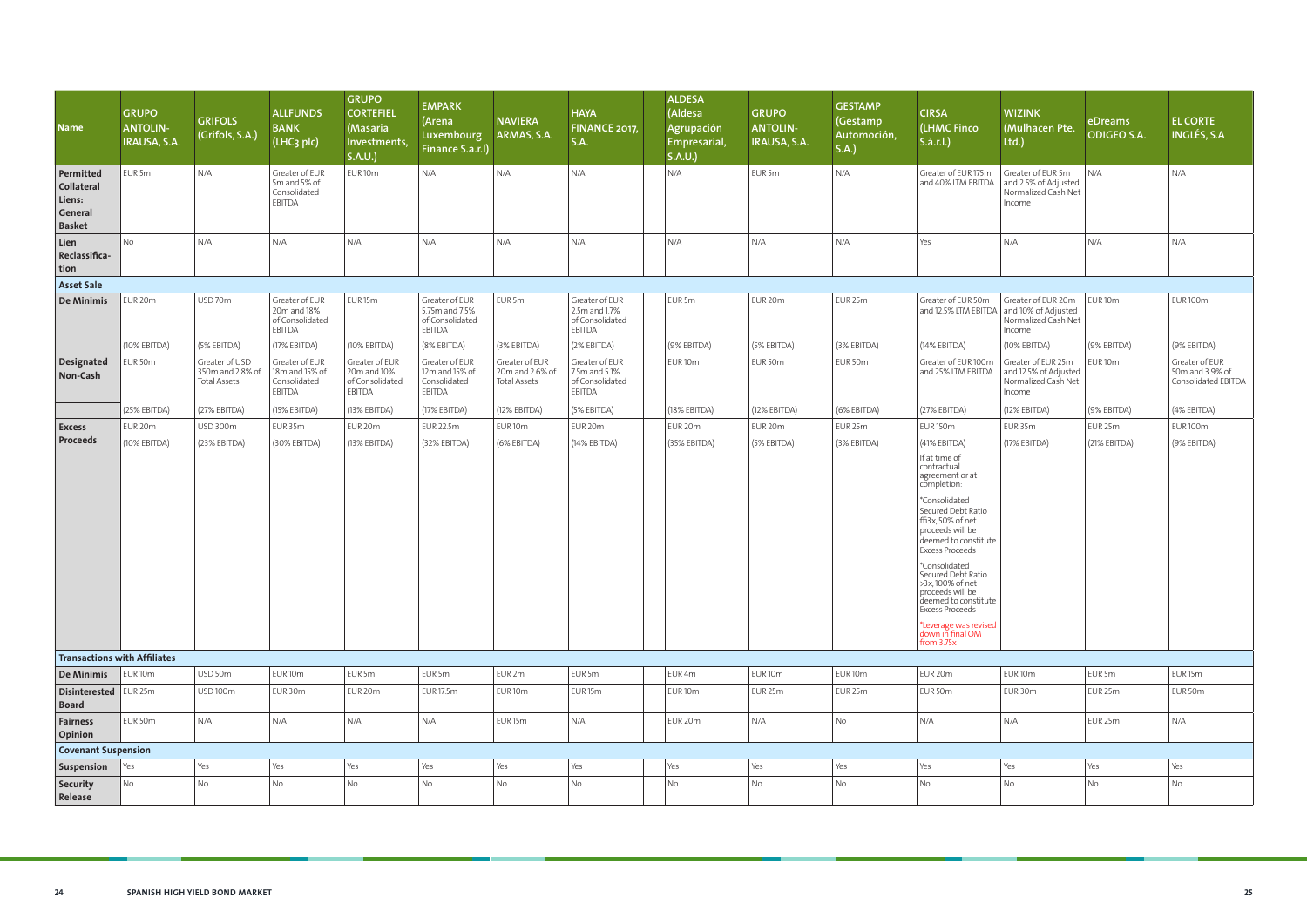| <b>Name</b>                                                          | <b>GRUPO</b><br><b>ANTOLIN-</b><br>IRAUSA, S.A. | <b>GRIFOLS</b><br>(Grifols, S.A.)                         | <b>ALLFUNDS</b><br><b>BANK</b><br>(LHC <sub>3</sub> plc)          | <b>GRUPO</b><br><b>CORTEFIEL</b><br>(Masaria<br>Investments,<br>S.A.U. | <b>EMPARK</b><br>(Arena<br>Luxembourg<br>Finance S.a.r.l)            | <b>NAVIERA</b><br>ARMAS, S.A.                            | <b>HAYA</b><br>FINANCE 2017,<br>S.A.                         | <b>ALDESA</b><br>(Aldesa<br><b>Agrupación</b><br>Empresarial,<br>S.A.U. | <b>GRUPO</b><br><b>ANTOLIN-</b><br>IRAUSA, S.A. | <b>GESTAMP</b><br>(Gestamp<br>Automoción,<br>S.A.) | <b>CIRSA</b><br>(LHMC Finco<br>$S.\hat{a}.r.l.$                                                                                                                                                                                                                                                                                                                                                             | <b>WIZINK</b><br>(Mulhacen Pte.<br>Ltd.)                                                        | eDreams<br><b>ODIGEO S.A.</b> | <b>EL CORTE</b><br>INGLÉS, S.A                           |
|----------------------------------------------------------------------|-------------------------------------------------|-----------------------------------------------------------|-------------------------------------------------------------------|------------------------------------------------------------------------|----------------------------------------------------------------------|----------------------------------------------------------|--------------------------------------------------------------|-------------------------------------------------------------------------|-------------------------------------------------|----------------------------------------------------|-------------------------------------------------------------------------------------------------------------------------------------------------------------------------------------------------------------------------------------------------------------------------------------------------------------------------------------------------------------------------------------------------------------|-------------------------------------------------------------------------------------------------|-------------------------------|----------------------------------------------------------|
| Permitted<br><b>Collateral</b><br>Liens:<br>General<br><b>Basket</b> | EUR 5m                                          | N/A                                                       | Greater of EUR<br>5m and 5% of<br>Consolidated<br>EBITDA          | EUR <sub>10m</sub>                                                     | N/A                                                                  | N/A                                                      | N/A                                                          | N/A                                                                     | EUR 5m                                          | N/A                                                | Greater of EUR 175m<br>and 40% LTM EBITDA                                                                                                                                                                                                                                                                                                                                                                   | Greater of EUR 5m<br>and 2.5% of Adjusted<br>Normalized Cash Net<br>Income                      | N/A                           | N/A                                                      |
| Lien<br>Reclassifica-<br>tion                                        | <b>No</b>                                       | N/A                                                       | N/A                                                               | N/A                                                                    | N/A                                                                  | N/A                                                      | N/A                                                          | N/A                                                                     | N/A                                             | N/A                                                | Yes                                                                                                                                                                                                                                                                                                                                                                                                         | N/A                                                                                             | N/A                           | N/A                                                      |
| <b>Asset Sale</b>                                                    |                                                 |                                                           |                                                                   |                                                                        |                                                                      |                                                          |                                                              |                                                                         |                                                 |                                                    |                                                                                                                                                                                                                                                                                                                                                                                                             |                                                                                                 |                               |                                                          |
| De Minimis                                                           | EUR 20m                                         | USD 70m                                                   | Greater of EUR<br>20m and 18%<br>of Consolidated<br><b>EBITDA</b> | EUR <sub>15m</sub>                                                     | Greater of EUR<br>5.75m and 7.5%<br>of Consolidated<br><b>EBITDA</b> | EUR 5m                                                   | Greater of EUR<br>2.5m and 1.7%<br>of Consolidated<br>EBITDA | EUR 5m                                                                  | EUR 20m                                         | EUR 25m                                            | Greater of EUR 50m                                                                                                                                                                                                                                                                                                                                                                                          | Greater of EUR 20m<br>and 12.5% LTM EBITDA and 10% of Adjusted<br>Normalized Cash Net<br>Income | EUR <sub>10m</sub>            | <b>EUR 100m</b>                                          |
|                                                                      | (10% EBITDA)                                    | (5% EBITDA)                                               | (17% EBITDA)                                                      | (10% EBITDA)                                                           | (8% EBITDA)                                                          | (3% EBITDA)                                              | (2% EBITDA)                                                  | (9% EBITDA)                                                             | (5% EBITDA)                                     | (3% EBITDA)                                        | (14% EBITDA)                                                                                                                                                                                                                                                                                                                                                                                                | (10% EBITDA)                                                                                    | (9% EBITDA)                   | (9% EBITDA)                                              |
| Designated<br>Non-Cash                                               | EUR 50m                                         | Greater of USD<br>350m and 2.8% of<br><b>Total Assets</b> | Greater of EUR<br>18m and 15% of<br>Consolidated<br>EBITDA        | Greater of EUR<br>20m and 10%<br>of Consolidated<br><b>EBITDA</b>      | Greater of EUR<br>12m and 15% of<br>Consolidated<br>EBITDA           | Greater of EUR<br>20m and 2.6% of<br><b>Total Assets</b> | Greater of EUR<br>7.5m and 5.1%<br>of Consolidated<br>EBITDA | EUR <sub>10m</sub>                                                      | EUR 50m                                         | EUR 50m                                            | Greater of EUR 100m<br>and 25% LTM EBITDA                                                                                                                                                                                                                                                                                                                                                                   | Greater of EUR 25m<br>and 12.5% of Adjusted<br>Normalized Cash Net<br>Income                    | EUR <sub>10m</sub>            | Greater of EUR<br>50m and 3.9% of<br>Consolidated EBITDA |
|                                                                      | (25% EBITDA)                                    | (27% EBITDA)                                              | (15% EBITDA)                                                      | (13% EBITDA)                                                           | (17% EBITDA)                                                         | (12% EBITDA)                                             | (5% EBITDA)                                                  | (18% EBITDA)                                                            | (12% EBITDA)                                    | (6% EBITDA)                                        | (27% EBITDA)                                                                                                                                                                                                                                                                                                                                                                                                | (12% EBITDA)                                                                                    | (9% EBITDA)                   | (4% EBITDA)                                              |
| <b>Excess</b>                                                        | EUR 20m                                         | <b>USD 300m</b>                                           | EUR 35m                                                           | EUR <sub>20m</sub>                                                     | <b>EUR 22.5m</b>                                                     | EUR <sub>10m</sub>                                       | EUR 20m                                                      | EUR <sub>20m</sub>                                                      | EUR 20m                                         | EUR 25m                                            | <b>EUR 150m</b>                                                                                                                                                                                                                                                                                                                                                                                             | EUR 35m                                                                                         | EUR <sub>25m</sub>            | <b>EUR 100m</b>                                          |
| <b>Proceeds</b>                                                      | (10% EBITDA)                                    | (23% EBITDA)                                              | (30% EBITDA)                                                      | (13% EBITDA)                                                           | (32% EBITDA)                                                         | (6% EBITDA)                                              | (14% EBITDA)                                                 | (35% EBITDA)                                                            | (5% EBITDA)                                     | (3% EBITDA)                                        | (41% EBITDA)<br>If at time of<br>contractual<br>agreement or at<br>completion:<br>*Consolidated<br>Secured Debt Ratio<br>ffi3x, 50% of net<br>proceeds will be<br>deemed to constitute<br><b>Excess Proceeds</b><br>*Consolidated<br>Secured Debt Ratio<br>>3x,100% of net<br>proceeds will be<br>deemed to constitute<br><b>Excess Proceeds</b><br>*Leverage was revised<br>down in final OM<br>from 3.75x | (17% EBITDA)                                                                                    | (21% EBITDA)                  | (9% EBITDA)                                              |
| <b>Transactions with Affiliates</b>                                  |                                                 |                                                           |                                                                   |                                                                        |                                                                      |                                                          |                                                              |                                                                         |                                                 |                                                    |                                                                                                                                                                                                                                                                                                                                                                                                             |                                                                                                 |                               |                                                          |
| De Minimis   EUR 10m                                                 |                                                 | USD 50m                                                   | EUR <sub>10m</sub>                                                | EUR <sub>5m</sub>                                                      | EUR 5m                                                               | EUR 2m                                                   | EUR 5m                                                       | EUR 4m                                                                  | EUR <sub>10m</sub>                              | EUR <sub>10m</sub>                                 | EUR 20m                                                                                                                                                                                                                                                                                                                                                                                                     | EUR <sub>10m</sub>                                                                              | EUR <sub>5m</sub>             | EUR <sub>15m</sub>                                       |
| Disinterested   EUR 25m<br><b>Board</b>                              |                                                 | USD 100m                                                  | EUR 30m                                                           | EUR 20m                                                                | <b>EUR 17.5m</b>                                                     | EUR <sub>10m</sub>                                       | EUR <sub>15m</sub>                                           | EUR <sub>10m</sub>                                                      | EUR 25m                                         | EUR 25m                                            | EUR 50m                                                                                                                                                                                                                                                                                                                                                                                                     | EUR 30m                                                                                         | EUR <sub>25m</sub>            | EUR 50m                                                  |
| <b>Fairness</b><br><b>Opinion</b>                                    | EUR 50m                                         | N/A                                                       | N/A                                                               | N/A                                                                    | N/A                                                                  | EUR <sub>15m</sub>                                       | N/A                                                          | EUR 20m                                                                 | N/A                                             | No                                                 | N/A                                                                                                                                                                                                                                                                                                                                                                                                         | N/A                                                                                             | EUR <sub>25m</sub>            | N/A                                                      |
| <b>Covenant Suspension</b>                                           |                                                 |                                                           |                                                                   |                                                                        |                                                                      |                                                          |                                                              |                                                                         |                                                 |                                                    |                                                                                                                                                                                                                                                                                                                                                                                                             |                                                                                                 |                               |                                                          |
| Suspension                                                           | $\vert$ Yes                                     | Yes                                                       | Yes                                                               | Yes                                                                    | Yes                                                                  | Yes                                                      | Yes                                                          | Yes                                                                     | Yes                                             | Yes                                                | Yes                                                                                                                                                                                                                                                                                                                                                                                                         | Yes                                                                                             | Yes                           | Yes                                                      |
| Security<br>Release                                                  | No                                              | No                                                        | No                                                                | No                                                                     | No                                                                   | No                                                       | No                                                           | No                                                                      | No                                              | No                                                 | No                                                                                                                                                                                                                                                                                                                                                                                                          | <b>No</b>                                                                                       | <b>No</b>                     | No                                                       |